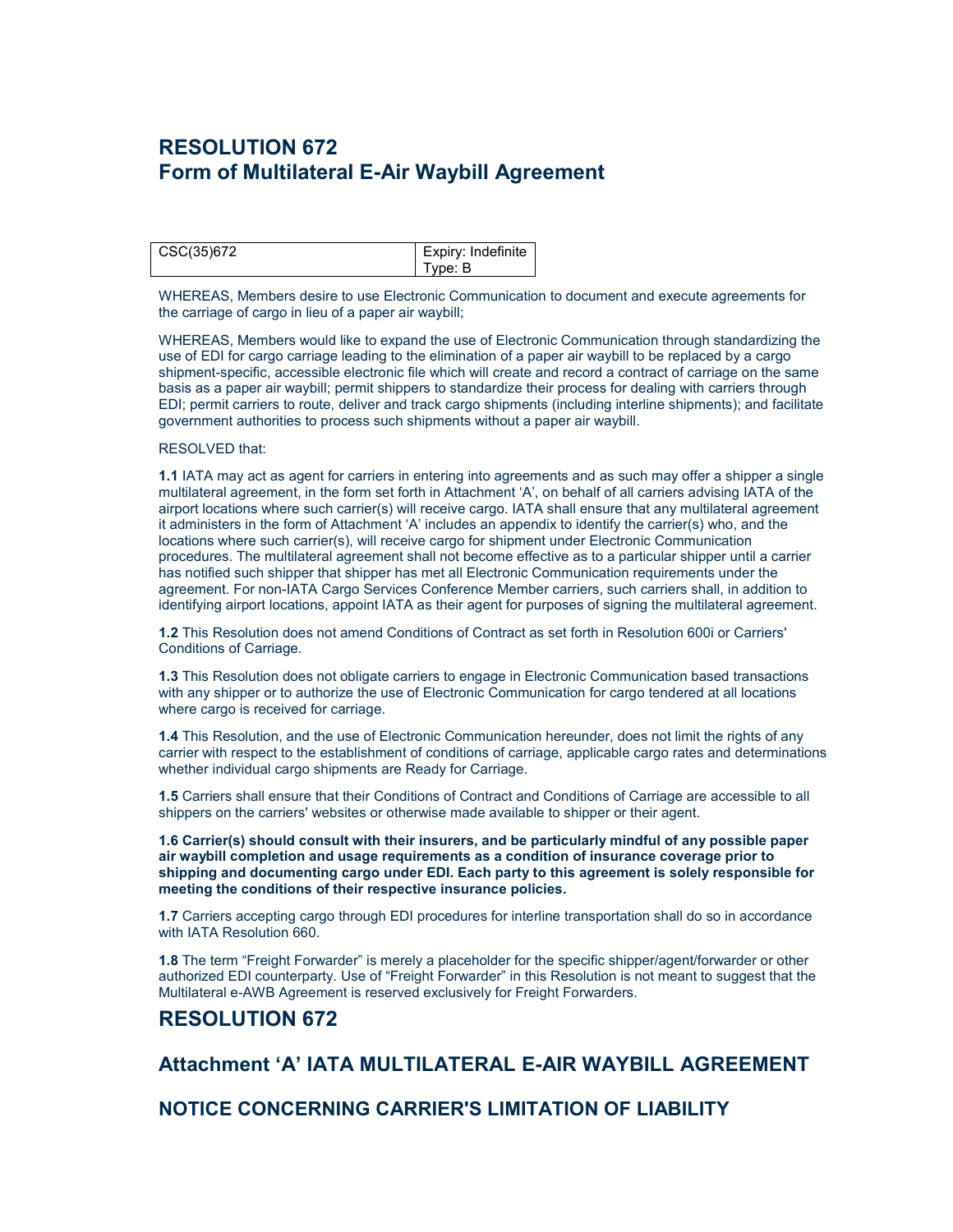# **RESOLUTION 672 Form of Multilateral E-Air Waybill Agreement**

| CSC(35)672 | Expiry: Indefinite |
|------------|--------------------|
|            | Type: B            |

WHEREAS, Members desire to use Electronic Communication to document and execute agreements for the carriage of cargo in lieu of a paper air waybill;

WHEREAS, Members would like to expand the use of Electronic Communication through standardizing the use of EDI for cargo carriage leading to the elimination of a paper air waybill to be replaced by a cargo shipment-specific, accessible electronic file which will create and record a contract of carriage on the same basis as a paper air waybill; permit shippers to standardize their process for dealing with carriers through EDI; permit carriers to route, deliver and track cargo shipments (including interline shipments); and facilitate government authorities to process such shipments without a paper air waybill.

### RESOLVED that:

**1.1** IATA may act as agent for carriers in entering into agreements and as such may offer a shipper a single multilateral agreement, in the form set forth in Attachment 'A', on behalf of all carriers advising IATA of the airport locations where such carrier(s) will receive cargo. IATA shall ensure that any multilateral agreement it administers in the form of Attachment 'A' includes an appendix to identify the carrier(s) who, and the locations where such carrier(s), will receive cargo for shipment under Electronic Communication procedures. The multilateral agreement shall not become effective as to a particular shipper until a carrier has notified such shipper that shipper has met all Electronic Communication requirements under the agreement. For non-IATA Cargo Services Conference Member carriers, such carriers shall, in addition to identifying airport locations, appoint IATA as their agent for purposes of signing the multilateral agreement.

**1.2** This Resolution does not amend Conditions of Contract as set forth in Resolution 600i or Carriers' Conditions of Carriage.

**1.3** This Resolution does not obligate carriers to engage in Electronic Communication based transactions with any shipper or to authorize the use of Electronic Communication for cargo tendered at all locations where cargo is received for carriage.

**1.4** This Resolution, and the use of Electronic Communication hereunder, does not limit the rights of any carrier with respect to the establishment of conditions of carriage, applicable cargo rates and determinations whether individual cargo shipments are Ready for Carriage.

**1.5** Carriers shall ensure that their Conditions of Contract and Conditions of Carriage are accessible to all shippers on the carriers' websites or otherwise made available to shipper or their agent.

**1.6 Carrier(s) should consult with their insurers, and be particularly mindful of any possible paper air waybill completion and usage requirements as a condition of insurance coverage prior to shipping and documenting cargo under EDI. Each party to this agreement is solely responsible for meeting the conditions of their respective insurance policies.**

**1.7** Carriers accepting cargo through EDI procedures for interline transportation shall do so in accordance with IATA Resolution 660.

**1.8** The term "Freight Forwarder" is merely a placeholder for the specific shipper/agent/forwarder or other authorized EDI counterparty. Use of "Freight Forwarder" in this Resolution is not meant to suggest that the Multilateral e-AWB Agreement is reserved exclusively for Freight Forwarders.

## **RESOLUTION 672**

# **Attachment 'A' IATA MULTILATERAL E-AIR WAYBILL AGREEMENT**

**NOTICE CONCERNING CARRIER'S LIMITATION OF LIABILITY**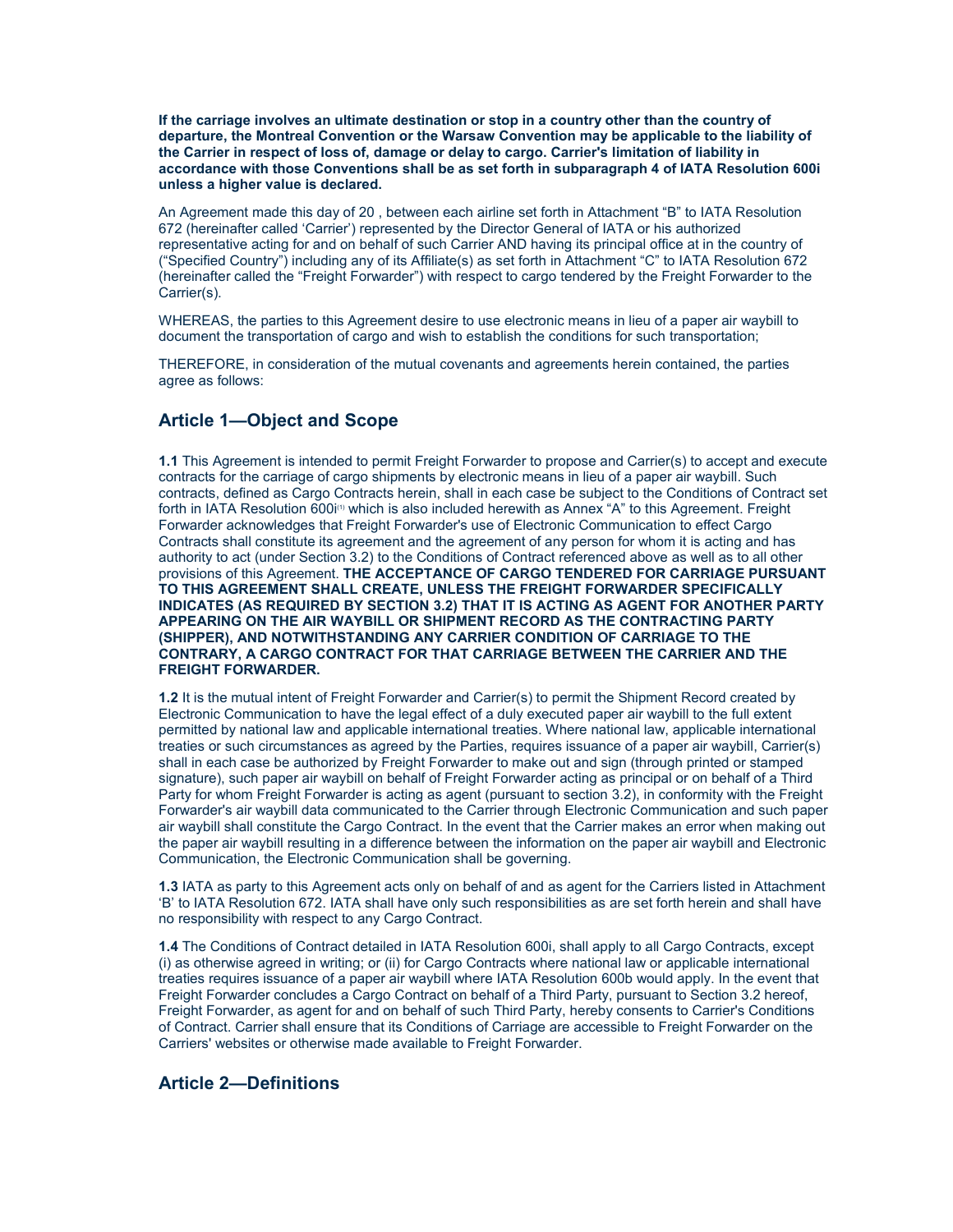**If the carriage involves an ultimate destination or stop in a country other than the country of departure, the Montreal Convention or the Warsaw Convention may be applicable to the liability of the Carrier in respect of loss of, damage or delay to cargo. Carrier's limitation of liability in accordance with those Conventions shall be as set forth in subparagraph 4 of IATA Resolution 600i unless a higher value is declared.**

An Agreement made this day of 20 , between each airline set forth in Attachment "B" to IATA Resolution 672 (hereinafter called 'Carrier') represented by the Director General of IATA or his authorized representative acting for and on behalf of such Carrier AND having its principal office at in the country of ("Specified Country") including any of its Affiliate(s) as set forth in Attachment "C" to IATA Resolution 672 (hereinafter called the "Freight Forwarder") with respect to cargo tendered by the Freight Forwarder to the Carrier(s).

WHEREAS, the parties to this Agreement desire to use electronic means in lieu of a paper air waybill to document the transportation of cargo and wish to establish the conditions for such transportation;

THEREFORE, in consideration of the mutual covenants and agreements herein contained, the parties agree as follows:

### **Article 1—Object and Scope**

**1.1** This Agreement is intended to permit Freight Forwarder to propose and Carrier(s) to accept and execute contracts for the carriage of cargo shipments by electronic means in lieu of a paper air waybill. Such contracts, defined as Cargo Contracts herein, shall in each case be subject to the Conditions of Contract set forth in IATA Resolution 600i<sup>(1)</sup> which is also included herewith as Annex "A" to this Agreement. Freight Forwarder acknowledges that Freight Forwarder's use of Electronic Communication to effect Cargo Contracts shall constitute its agreement and the agreement of any person for whom it is acting and has authority to act (under Section 3.2) to the Conditions of Contract referenced above as well as to all other provisions of this Agreement. **THE ACCEPTANCE OF CARGO TENDERED FOR CARRIAGE PURSUANT TO THIS AGREEMENT SHALL CREATE, UNLESS THE FREIGHT FORWARDER SPECIFICALLY INDICATES (AS REQUIRED BY SECTION 3.2) THAT IT IS ACTING AS AGENT FOR ANOTHER PARTY APPEARING ON THE AIR WAYBILL OR SHIPMENT RECORD AS THE CONTRACTING PARTY (SHIPPER), AND NOTWITHSTANDING ANY CARRIER CONDITION OF CARRIAGE TO THE CONTRARY, A CARGO CONTRACT FOR THAT CARRIAGE BETWEEN THE CARRIER AND THE FREIGHT FORWARDER.**

**1.2** It is the mutual intent of Freight Forwarder and Carrier(s) to permit the Shipment Record created by Electronic Communication to have the legal effect of a duly executed paper air waybill to the full extent permitted by national law and applicable international treaties. Where national law, applicable international treaties or such circumstances as agreed by the Parties, requires issuance of a paper air waybill, Carrier(s) shall in each case be authorized by Freight Forwarder to make out and sign (through printed or stamped signature), such paper air waybill on behalf of Freight Forwarder acting as principal or on behalf of a Third Party for whom Freight Forwarder is acting as agent (pursuant to section 3.2), in conformity with the Freight Forwarder's air waybill data communicated to the Carrier through Electronic Communication and such paper air waybill shall constitute the Cargo Contract. In the event that the Carrier makes an error when making out the paper air waybill resulting in a difference between the information on the paper air waybill and Electronic Communication, the Electronic Communication shall be governing.

**1.3** IATA as party to this Agreement acts only on behalf of and as agent for the Carriers listed in Attachment 'B' to IATA Resolution 672. IATA shall have only such responsibilities as are set forth herein and shall have no responsibility with respect to any Cargo Contract.

**1.4** The Conditions of Contract detailed in IATA Resolution 600i, shall apply to all Cargo Contracts, except (i) as otherwise agreed in writing; or (ii) for Cargo Contracts where national law or applicable international treaties requires issuance of a paper air waybill where IATA Resolution 600b would apply. In the event that Freight Forwarder concludes a Cargo Contract on behalf of a Third Party, pursuant to Section 3.2 hereof, Freight Forwarder, as agent for and on behalf of such Third Party, hereby consents to Carrier's Conditions of Contract. Carrier shall ensure that its Conditions of Carriage are accessible to Freight Forwarder on the Carriers' websites or otherwise made available to Freight Forwarder.

### **Article 2—Definitions**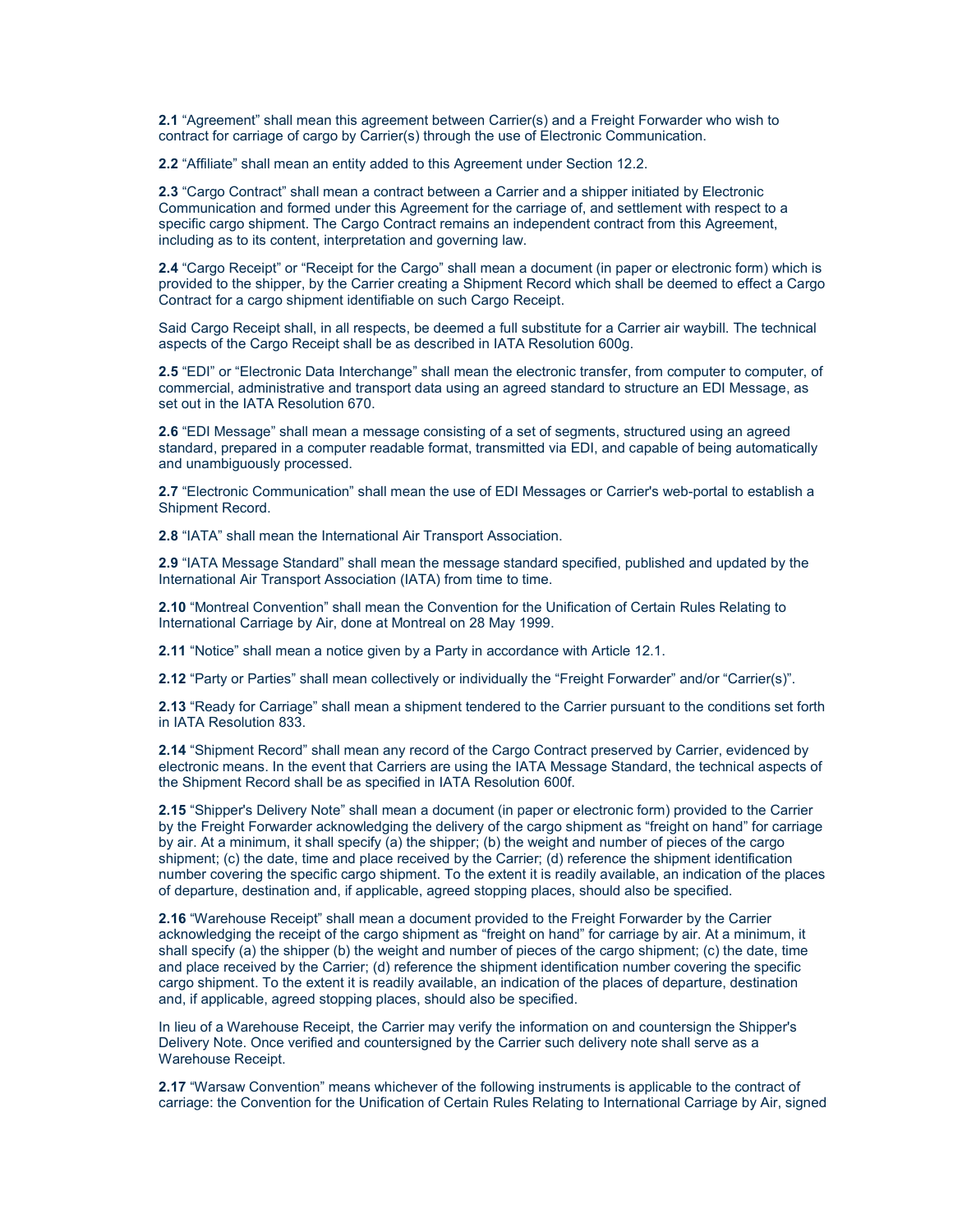**2.1** "Agreement" shall mean this agreement between Carrier(s) and a Freight Forwarder who wish to contract for carriage of cargo by Carrier(s) through the use of Electronic Communication.

**2.2** "Affiliate" shall mean an entity added to this Agreement under Section 12.2.

**2.3** "Cargo Contract" shall mean a contract between a Carrier and a shipper initiated by Electronic Communication and formed under this Agreement for the carriage of, and settlement with respect to a specific cargo shipment. The Cargo Contract remains an independent contract from this Agreement, including as to its content, interpretation and governing law.

**2.4** "Cargo Receipt" or "Receipt for the Cargo" shall mean a document (in paper or electronic form) which is provided to the shipper, by the Carrier creating a Shipment Record which shall be deemed to effect a Cargo Contract for a cargo shipment identifiable on such Cargo Receipt.

Said Cargo Receipt shall, in all respects, be deemed a full substitute for a Carrier air waybill. The technical aspects of the Cargo Receipt shall be as described in IATA Resolution 600g.

**2.5** "EDI" or "Electronic Data Interchange" shall mean the electronic transfer, from computer to computer, of commercial, administrative and transport data using an agreed standard to structure an EDI Message, as set out in the IATA Resolution 670.

**2.6** "EDI Message" shall mean a message consisting of a set of segments, structured using an agreed standard, prepared in a computer readable format, transmitted via EDI, and capable of being automatically and unambiguously processed.

**2.7** "Electronic Communication" shall mean the use of EDI Messages or Carrier's web-portal to establish a Shipment Record.

**2.8** "IATA" shall mean the International Air Transport Association.

**2.9** "IATA Message Standard" shall mean the message standard specified, published and updated by the International Air Transport Association (IATA) from time to time.

**2.10** "Montreal Convention" shall mean the Convention for the Unification of Certain Rules Relating to International Carriage by Air, done at Montreal on 28 May 1999.

**2.11** "Notice" shall mean a notice given by a Party in accordance with Article 12.1.

**2.12** "Party or Parties" shall mean collectively or individually the "Freight Forwarder" and/or "Carrier(s)".

**2.13** "Ready for Carriage" shall mean a shipment tendered to the Carrier pursuant to the conditions set forth in IATA Resolution 833.

**2.14** "Shipment Record" shall mean any record of the Cargo Contract preserved by Carrier, evidenced by electronic means. In the event that Carriers are using the IATA Message Standard, the technical aspects of the Shipment Record shall be as specified in IATA Resolution 600f.

**2.15** "Shipper's Delivery Note" shall mean a document (in paper or electronic form) provided to the Carrier by the Freight Forwarder acknowledging the delivery of the cargo shipment as "freight on hand" for carriage by air. At a minimum, it shall specify (a) the shipper; (b) the weight and number of pieces of the cargo shipment; (c) the date, time and place received by the Carrier; (d) reference the shipment identification number covering the specific cargo shipment. To the extent it is readily available, an indication of the places of departure, destination and, if applicable, agreed stopping places, should also be specified.

**2.16** "Warehouse Receipt" shall mean a document provided to the Freight Forwarder by the Carrier acknowledging the receipt of the cargo shipment as "freight on hand" for carriage by air. At a minimum, it shall specify (a) the shipper (b) the weight and number of pieces of the cargo shipment; (c) the date, time and place received by the Carrier; (d) reference the shipment identification number covering the specific cargo shipment. To the extent it is readily available, an indication of the places of departure, destination and, if applicable, agreed stopping places, should also be specified.

In lieu of a Warehouse Receipt, the Carrier may verify the information on and countersign the Shipper's Delivery Note. Once verified and countersigned by the Carrier such delivery note shall serve as a Warehouse Receipt.

**2.17** "Warsaw Convention" means whichever of the following instruments is applicable to the contract of carriage: the Convention for the Unification of Certain Rules Relating to International Carriage by Air, signed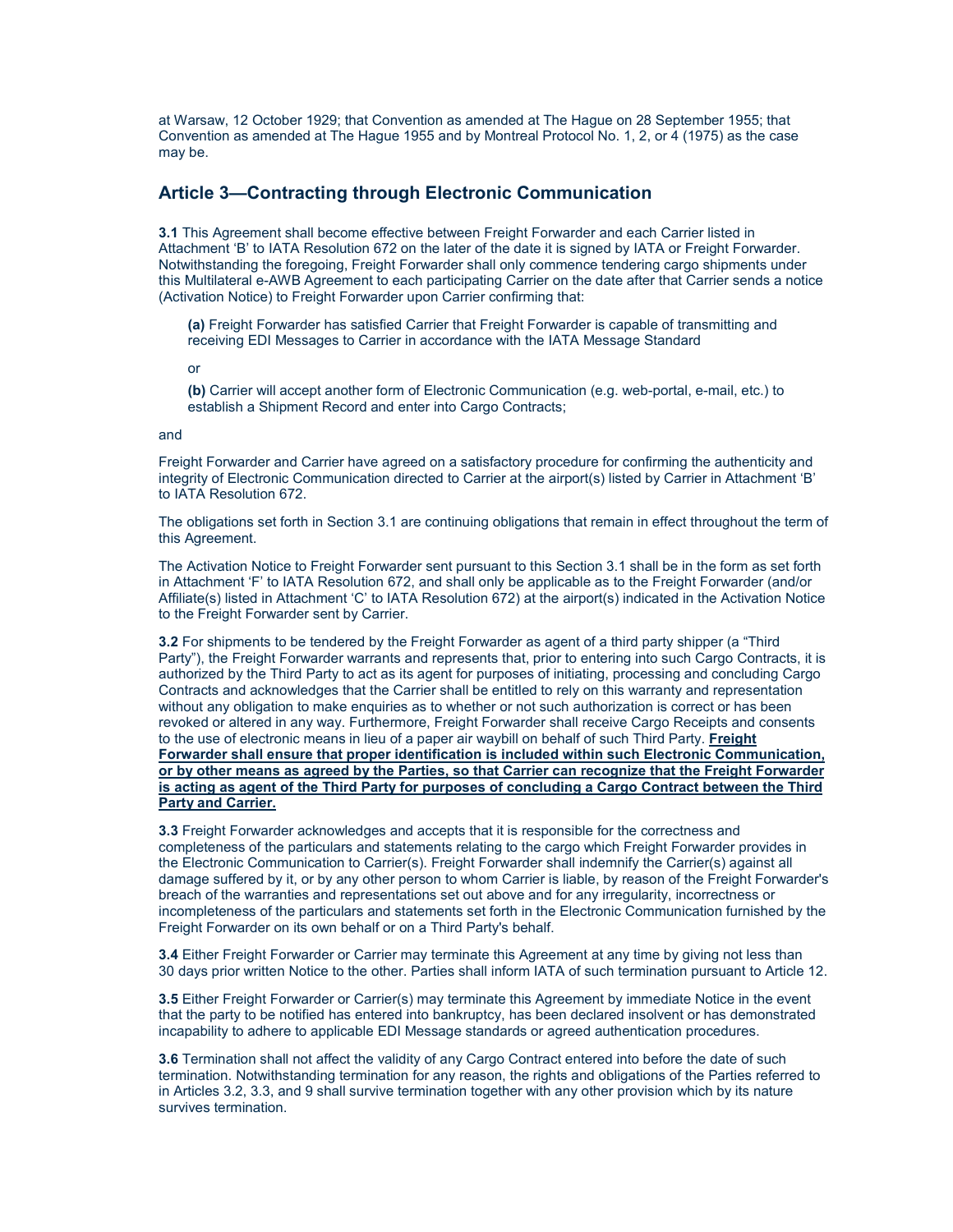at Warsaw, 12 October 1929; that Convention as amended at The Hague on 28 September 1955; that Convention as amended at The Hague 1955 and by Montreal Protocol No. 1, 2, or 4 (1975) as the case may be.

## **Article 3—Contracting through Electronic Communication**

**3.1** This Agreement shall become effective between Freight Forwarder and each Carrier listed in Attachment 'B' to IATA Resolution 672 on the later of the date it is signed by IATA or Freight Forwarder. Notwithstanding the foregoing, Freight Forwarder shall only commence tendering cargo shipments under this Multilateral e-AWB Agreement to each participating Carrier on the date after that Carrier sends a notice (Activation Notice) to Freight Forwarder upon Carrier confirming that:

**(a)** Freight Forwarder has satisfied Carrier that Freight Forwarder is capable of transmitting and receiving EDI Messages to Carrier in accordance with the IATA Message Standard

or

**(b)** Carrier will accept another form of Electronic Communication (e.g. web-portal, e-mail, etc.) to establish a Shipment Record and enter into Cargo Contracts;

#### and

Freight Forwarder and Carrier have agreed on a satisfactory procedure for confirming the authenticity and integrity of Electronic Communication directed to Carrier at the airport(s) listed by Carrier in Attachment 'B' to IATA Resolution 672.

The obligations set forth in Section 3.1 are continuing obligations that remain in effect throughout the term of this Agreement.

The Activation Notice to Freight Forwarder sent pursuant to this Section 3.1 shall be in the form as set forth in Attachment 'F' to IATA Resolution 672, and shall only be applicable as to the Freight Forwarder (and/or Affiliate(s) listed in Attachment 'C' to IATA Resolution 672) at the airport(s) indicated in the Activation Notice to the Freight Forwarder sent by Carrier.

**3.2** For shipments to be tendered by the Freight Forwarder as agent of a third party shipper (a "Third Party"), the Freight Forwarder warrants and represents that, prior to entering into such Cargo Contracts, it is authorized by the Third Party to act as its agent for purposes of initiating, processing and concluding Cargo Contracts and acknowledges that the Carrier shall be entitled to rely on this warranty and representation without any obligation to make enquiries as to whether or not such authorization is correct or has been revoked or altered in any way. Furthermore, Freight Forwarder shall receive Cargo Receipts and consents to the use of electronic means in lieu of a paper air waybill on behalf of such Third Party. **Freight Forwarder shall ensure that proper identification is included within such Electronic Communication, or by other means as agreed by the Parties, so that Carrier can recognize that the Freight Forwarder is acting as agent of the Third Party for purposes of concluding a Cargo Contract between the Third Party and Carrier.**

**3.3** Freight Forwarder acknowledges and accepts that it is responsible for the correctness and completeness of the particulars and statements relating to the cargo which Freight Forwarder provides in the Electronic Communication to Carrier(s). Freight Forwarder shall indemnify the Carrier(s) against all damage suffered by it, or by any other person to whom Carrier is liable, by reason of the Freight Forwarder's breach of the warranties and representations set out above and for any irregularity, incorrectness or incompleteness of the particulars and statements set forth in the Electronic Communication furnished by the Freight Forwarder on its own behalf or on a Third Party's behalf.

**3.4** Either Freight Forwarder or Carrier may terminate this Agreement at any time by giving not less than 30 days prior written Notice to the other. Parties shall inform IATA of such termination pursuant to Article 12.

**3.5** Either Freight Forwarder or Carrier(s) may terminate this Agreement by immediate Notice in the event that the party to be notified has entered into bankruptcy, has been declared insolvent or has demonstrated incapability to adhere to applicable EDI Message standards or agreed authentication procedures.

**3.6** Termination shall not affect the validity of any Cargo Contract entered into before the date of such termination. Notwithstanding termination for any reason, the rights and obligations of the Parties referred to in Articles 3.2, 3.3, and 9 shall survive termination together with any other provision which by its nature survives termination.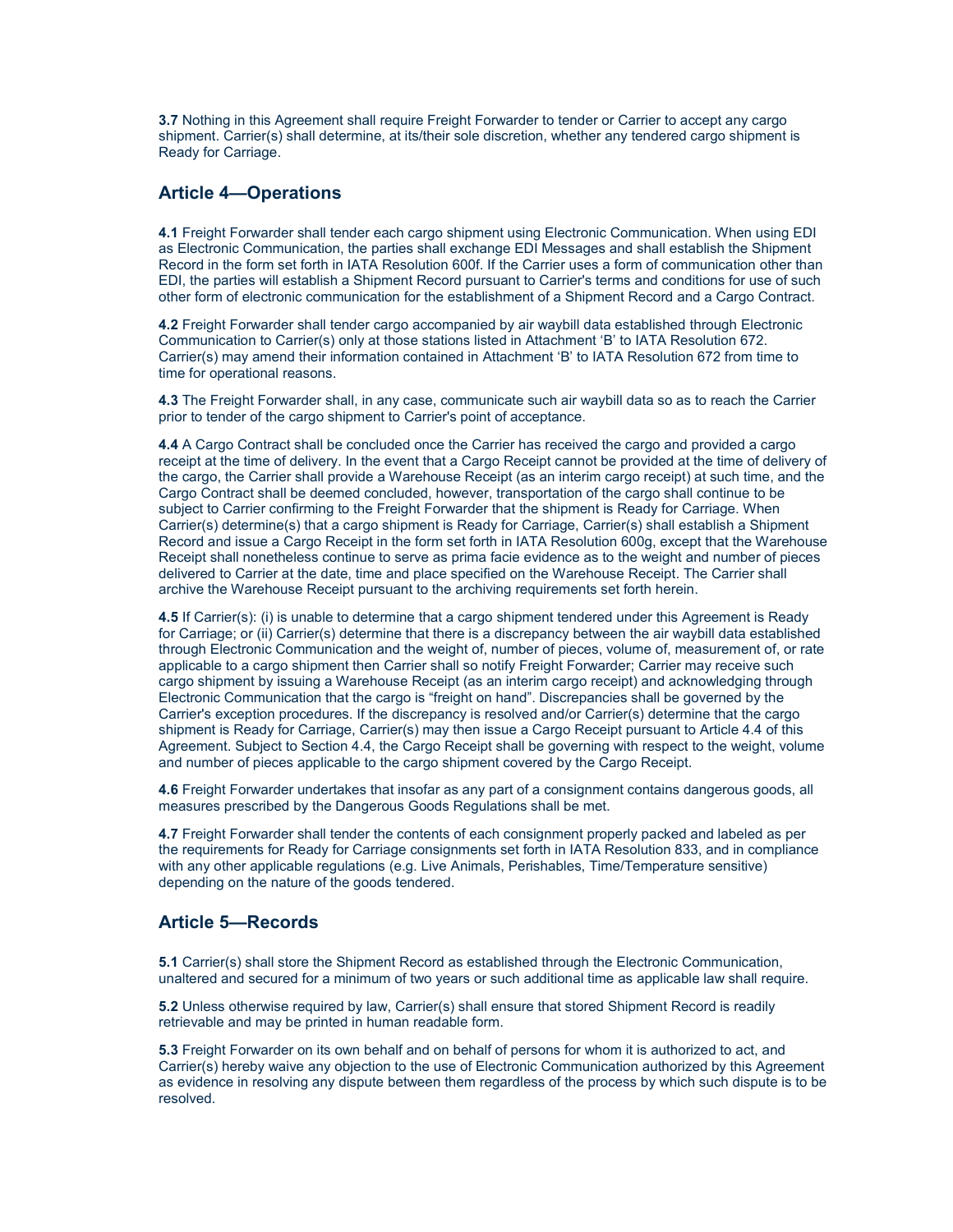**3.7** Nothing in this Agreement shall require Freight Forwarder to tender or Carrier to accept any cargo shipment. Carrier(s) shall determine, at its/their sole discretion, whether any tendered cargo shipment is Ready for Carriage.

## **Article 4—Operations**

**4.1** Freight Forwarder shall tender each cargo shipment using Electronic Communication. When using EDI as Electronic Communication, the parties shall exchange EDI Messages and shall establish the Shipment Record in the form set forth in IATA Resolution 600f. If the Carrier uses a form of communication other than EDI, the parties will establish a Shipment Record pursuant to Carrier's terms and conditions for use of such other form of electronic communication for the establishment of a Shipment Record and a Cargo Contract.

**4.2** Freight Forwarder shall tender cargo accompanied by air waybill data established through Electronic Communication to Carrier(s) only at those stations listed in Attachment 'B' to IATA Resolution 672. Carrier(s) may amend their information contained in Attachment 'B' to IATA Resolution 672 from time to time for operational reasons.

**4.3** The Freight Forwarder shall, in any case, communicate such air waybill data so as to reach the Carrier prior to tender of the cargo shipment to Carrier's point of acceptance.

**4.4** A Cargo Contract shall be concluded once the Carrier has received the cargo and provided a cargo receipt at the time of delivery. In the event that a Cargo Receipt cannot be provided at the time of delivery of the cargo, the Carrier shall provide a Warehouse Receipt (as an interim cargo receipt) at such time, and the Cargo Contract shall be deemed concluded, however, transportation of the cargo shall continue to be subject to Carrier confirming to the Freight Forwarder that the shipment is Ready for Carriage. When Carrier(s) determine(s) that a cargo shipment is Ready for Carriage, Carrier(s) shall establish a Shipment Record and issue a Cargo Receipt in the form set forth in IATA Resolution 600g, except that the Warehouse Receipt shall nonetheless continue to serve as prima facie evidence as to the weight and number of pieces delivered to Carrier at the date, time and place specified on the Warehouse Receipt. The Carrier shall archive the Warehouse Receipt pursuant to the archiving requirements set forth herein.

**4.5** If Carrier(s): (i) is unable to determine that a cargo shipment tendered under this Agreement is Ready for Carriage; or (ii) Carrier(s) determine that there is a discrepancy between the air waybill data established through Electronic Communication and the weight of, number of pieces, volume of, measurement of, or rate applicable to a cargo shipment then Carrier shall so notify Freight Forwarder; Carrier may receive such cargo shipment by issuing a Warehouse Receipt (as an interim cargo receipt) and acknowledging through Electronic Communication that the cargo is "freight on hand". Discrepancies shall be governed by the Carrier's exception procedures. If the discrepancy is resolved and/or Carrier(s) determine that the cargo shipment is Ready for Carriage, Carrier(s) may then issue a Cargo Receipt pursuant to Article 4.4 of this Agreement. Subject to Section 4.4, the Cargo Receipt shall be governing with respect to the weight, volume and number of pieces applicable to the cargo shipment covered by the Cargo Receipt.

**4.6** Freight Forwarder undertakes that insofar as any part of a consignment contains dangerous goods, all measures prescribed by the Dangerous Goods Regulations shall be met.

**4.7** Freight Forwarder shall tender the contents of each consignment properly packed and labeled as per the requirements for Ready for Carriage consignments set forth in IATA Resolution 833, and in compliance with any other applicable regulations (e.g. Live Animals, Perishables, Time/Temperature sensitive) depending on the nature of the goods tendered.

### **Article 5—Records**

**5.1** Carrier(s) shall store the Shipment Record as established through the Electronic Communication, unaltered and secured for a minimum of two years or such additional time as applicable law shall require.

**5.2** Unless otherwise required by law, Carrier(s) shall ensure that stored Shipment Record is readily retrievable and may be printed in human readable form.

**5.3** Freight Forwarder on its own behalf and on behalf of persons for whom it is authorized to act, and Carrier(s) hereby waive any objection to the use of Electronic Communication authorized by this Agreement as evidence in resolving any dispute between them regardless of the process by which such dispute is to be resolved.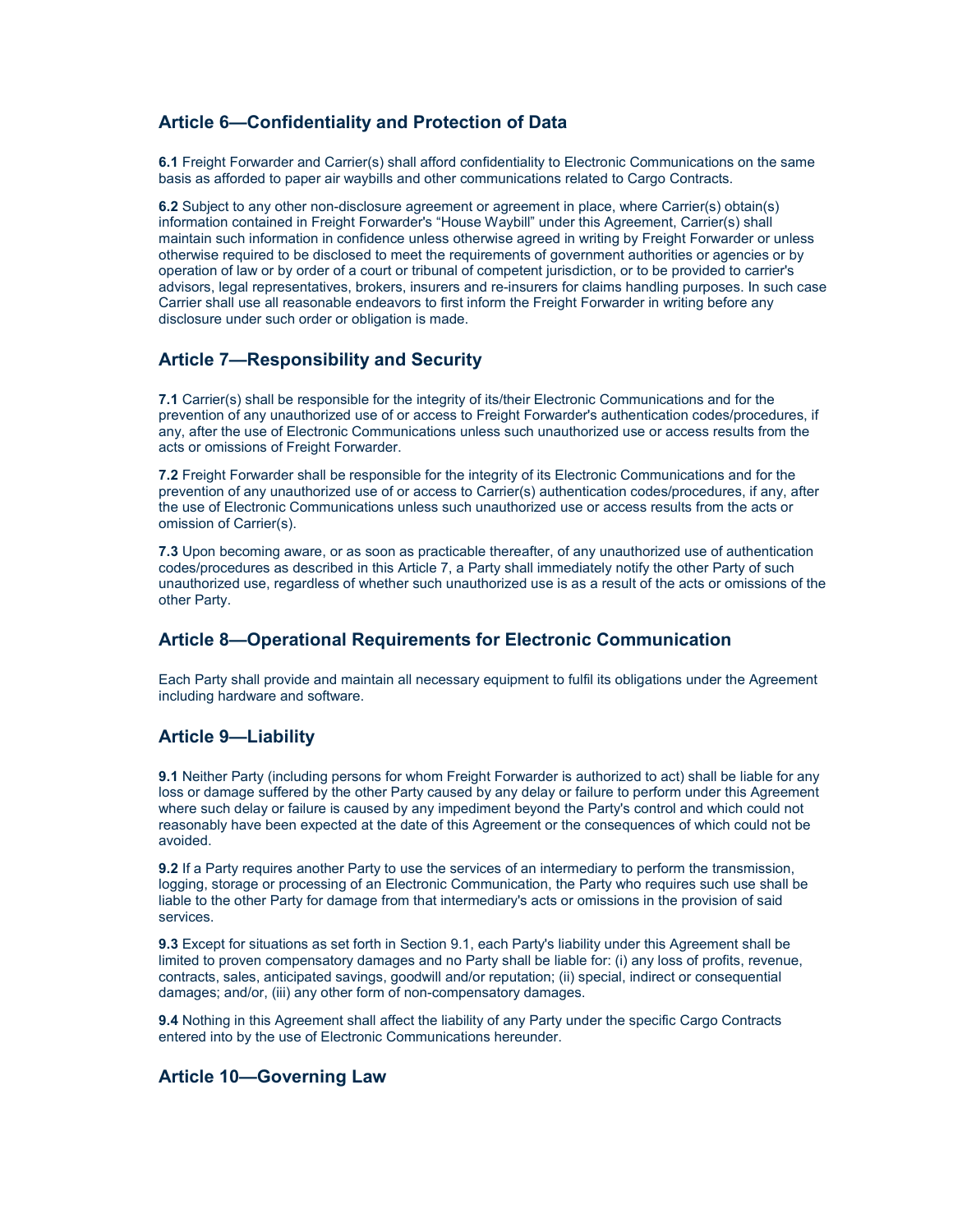## **Article 6—Confidentiality and Protection of Data**

**6.1** Freight Forwarder and Carrier(s) shall afford confidentiality to Electronic Communications on the same basis as afforded to paper air waybills and other communications related to Cargo Contracts.

**6.2** Subject to any other non-disclosure agreement or agreement in place, where Carrier(s) obtain(s) information contained in Freight Forwarder's "House Waybill" under this Agreement, Carrier(s) shall maintain such information in confidence unless otherwise agreed in writing by Freight Forwarder or unless otherwise required to be disclosed to meet the requirements of government authorities or agencies or by operation of law or by order of a court or tribunal of competent jurisdiction, or to be provided to carrier's advisors, legal representatives, brokers, insurers and re-insurers for claims handling purposes. In such case Carrier shall use all reasonable endeavors to first inform the Freight Forwarder in writing before any disclosure under such order or obligation is made.

## **Article 7—Responsibility and Security**

**7.1** Carrier(s) shall be responsible for the integrity of its/their Electronic Communications and for the prevention of any unauthorized use of or access to Freight Forwarder's authentication codes/procedures, if any, after the use of Electronic Communications unless such unauthorized use or access results from the acts or omissions of Freight Forwarder.

**7.2** Freight Forwarder shall be responsible for the integrity of its Electronic Communications and for the prevention of any unauthorized use of or access to Carrier(s) authentication codes/procedures, if any, after the use of Electronic Communications unless such unauthorized use or access results from the acts or omission of Carrier(s).

**7.3** Upon becoming aware, or as soon as practicable thereafter, of any unauthorized use of authentication codes/procedures as described in this Article 7, a Party shall immediately notify the other Party of such unauthorized use, regardless of whether such unauthorized use is as a result of the acts or omissions of the other Party.

## **Article 8—Operational Requirements for Electronic Communication**

Each Party shall provide and maintain all necessary equipment to fulfil its obligations under the Agreement including hardware and software.

## **Article 9—Liability**

**9.1** Neither Party (including persons for whom Freight Forwarder is authorized to act) shall be liable for any loss or damage suffered by the other Party caused by any delay or failure to perform under this Agreement where such delay or failure is caused by any impediment beyond the Party's control and which could not reasonably have been expected at the date of this Agreement or the consequences of which could not be avoided.

**9.2** If a Party requires another Party to use the services of an intermediary to perform the transmission, logging, storage or processing of an Electronic Communication, the Party who requires such use shall be liable to the other Party for damage from that intermediary's acts or omissions in the provision of said services.

**9.3** Except for situations as set forth in Section 9.1, each Party's liability under this Agreement shall be limited to proven compensatory damages and no Party shall be liable for: (i) any loss of profits, revenue, contracts, sales, anticipated savings, goodwill and/or reputation; (ii) special, indirect or consequential damages; and/or, (iii) any other form of non-compensatory damages.

**9.4** Nothing in this Agreement shall affect the liability of any Party under the specific Cargo Contracts entered into by the use of Electronic Communications hereunder.

### **Article 10—Governing Law**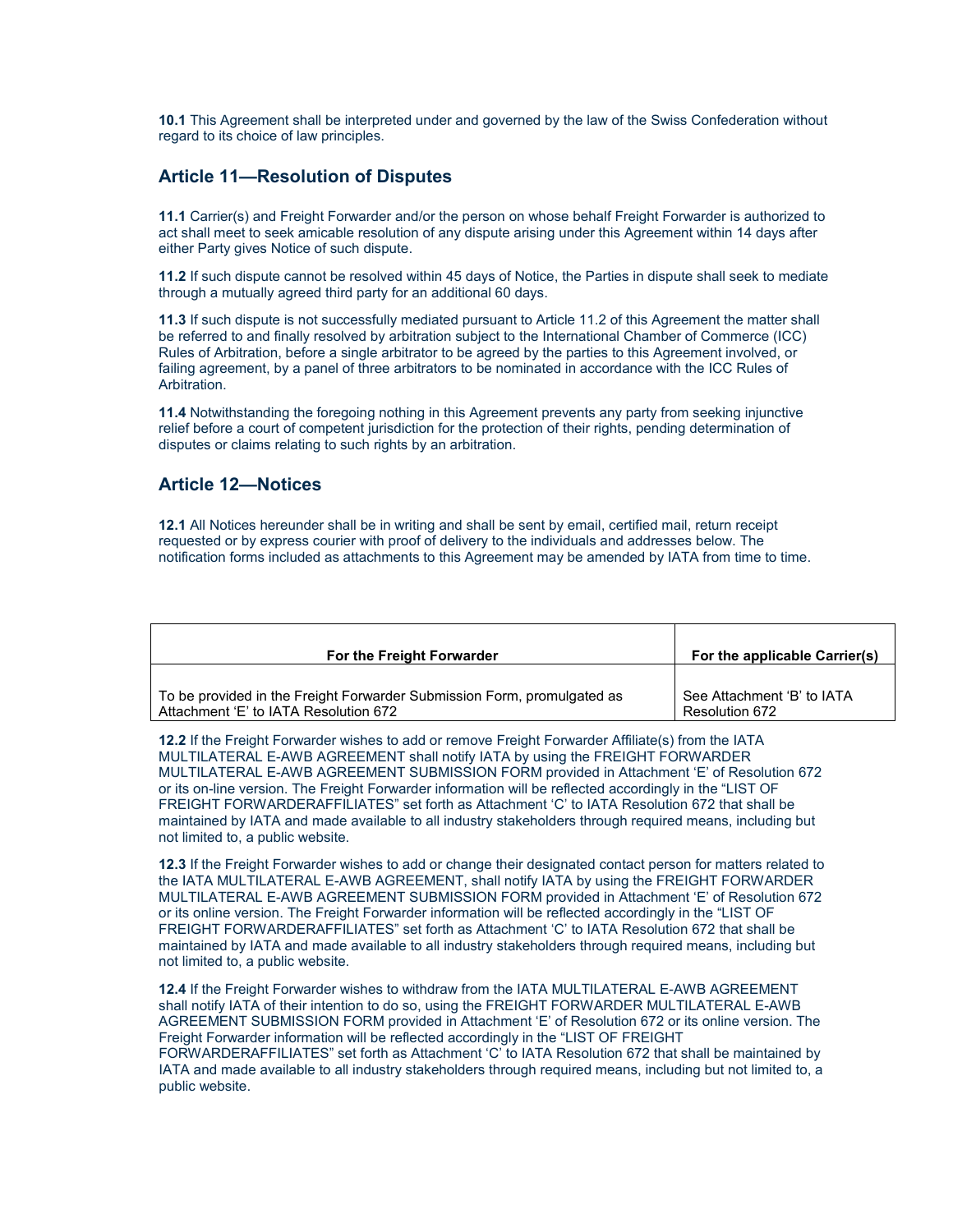**10.1** This Agreement shall be interpreted under and governed by the law of the Swiss Confederation without regard to its choice of law principles.

### **Article 11—Resolution of Disputes**

**11.1** Carrier(s) and Freight Forwarder and/or the person on whose behalf Freight Forwarder is authorized to act shall meet to seek amicable resolution of any dispute arising under this Agreement within 14 days after either Party gives Notice of such dispute.

**11.2** If such dispute cannot be resolved within 45 days of Notice, the Parties in dispute shall seek to mediate through a mutually agreed third party for an additional 60 days.

**11.3** If such dispute is not successfully mediated pursuant to Article 11.2 of this Agreement the matter shall be referred to and finally resolved by arbitration subject to the International Chamber of Commerce (ICC) Rules of Arbitration, before a single arbitrator to be agreed by the parties to this Agreement involved, or failing agreement, by a panel of three arbitrators to be nominated in accordance with the ICC Rules of Arbitration.

**11.4** Notwithstanding the foregoing nothing in this Agreement prevents any party from seeking injunctive relief before a court of competent jurisdiction for the protection of their rights, pending determination of disputes or claims relating to such rights by an arbitration.

### **Article 12—Notices**

**12.1** All Notices hereunder shall be in writing and shall be sent by email, certified mail, return receipt requested or by express courier with proof of delivery to the individuals and addresses below. The notification forms included as attachments to this Agreement may be amended by IATA from time to time.

| For the Freight Forwarder                                               | For the applicable Carrier(s) |
|-------------------------------------------------------------------------|-------------------------------|
| To be provided in the Freight Forwarder Submission Form, promulgated as | See Attachment 'B' to IATA    |
| Attachment 'E' to IATA Resolution 672                                   | Resolution 672                |

**12.2** If the Freight Forwarder wishes to add or remove Freight Forwarder Affiliate(s) from the IATA MULTILATERAL E-AWB AGREEMENT shall notify IATA by using the FREIGHT FORWARDER MULTILATERAL E-AWB AGREEMENT SUBMISSION FORM provided in Attachment 'E' of Resolution 672 or its on-line version. The Freight Forwarder information will be reflected accordingly in the "LIST OF FREIGHT FORWARDERAFFILIATES" set forth as Attachment 'C' to IATA Resolution 672 that shall be maintained by IATA and made available to all industry stakeholders through required means, including but not limited to, a public website.

**12.3** If the Freight Forwarder wishes to add or change their designated contact person for matters related to the IATA MULTILATERAL E-AWB AGREEMENT, shall notify IATA by using the FREIGHT FORWARDER MULTILATERAL E-AWB AGREEMENT SUBMISSION FORM provided in Attachment 'E' of Resolution 672 or its online version. The Freight Forwarder information will be reflected accordingly in the "LIST OF FREIGHT FORWARDERAFFILIATES" set forth as Attachment 'C' to IATA Resolution 672 that shall be maintained by IATA and made available to all industry stakeholders through required means, including but not limited to, a public website.

**12.4** If the Freight Forwarder wishes to withdraw from the IATA MULTILATERAL E-AWB AGREEMENT shall notify IATA of their intention to do so, using the FREIGHT FORWARDER MULTILATERAL E-AWB AGREEMENT SUBMISSION FORM provided in Attachment 'E' of Resolution 672 or its online version. The Freight Forwarder information will be reflected accordingly in the "LIST OF FREIGHT

FORWARDERAFFILIATES" set forth as Attachment 'C' to IATA Resolution 672 that shall be maintained by IATA and made available to all industry stakeholders through required means, including but not limited to, a public website.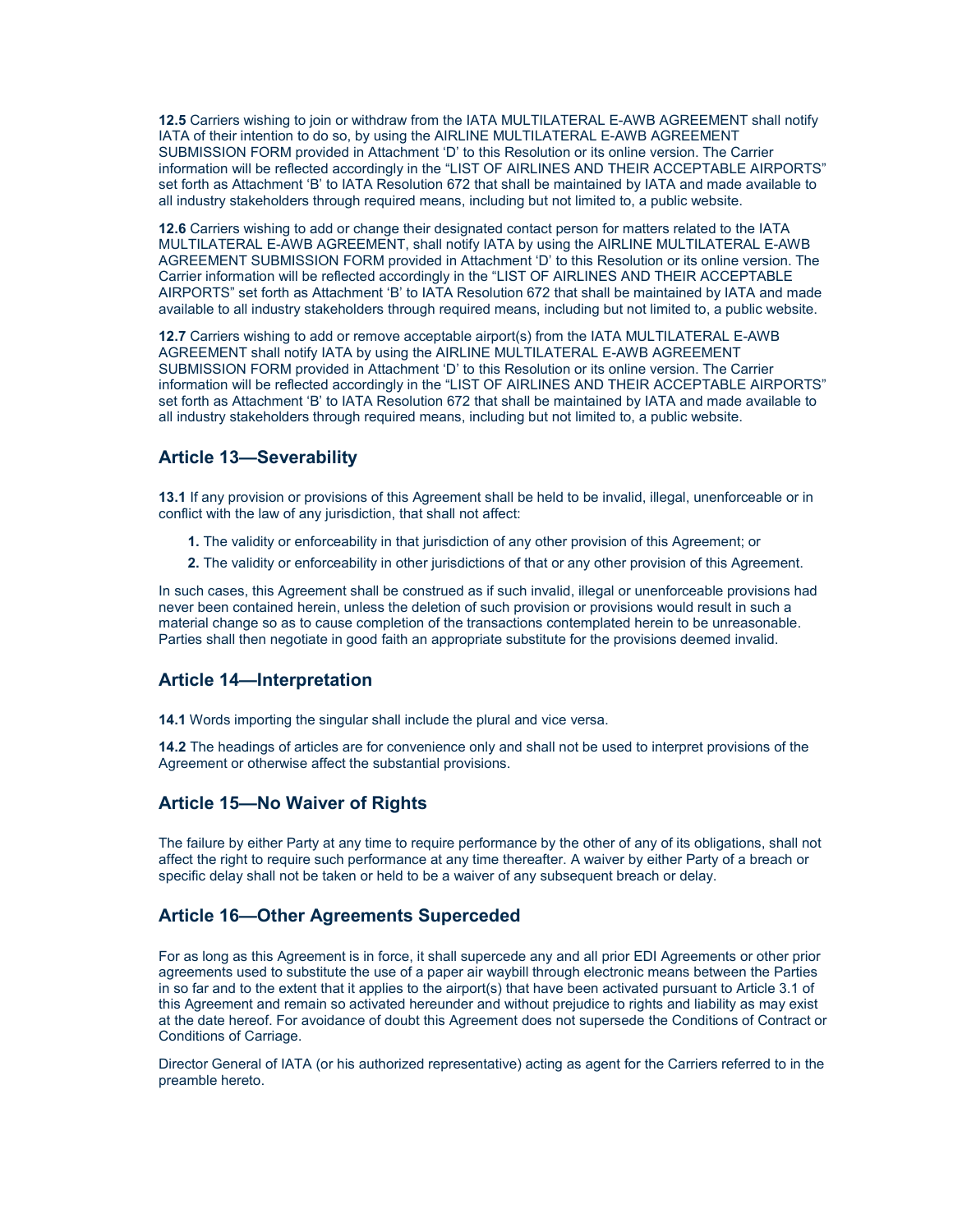**12.5** Carriers wishing to join or withdraw from the IATA MULTILATERAL E-AWB AGREEMENT shall notify IATA of their intention to do so, by using the AIRLINE MULTILATERAL E-AWB AGREEMENT SUBMISSION FORM provided in Attachment 'D' to this Resolution or its online version. The Carrier information will be reflected accordingly in the "LIST OF AIRLINES AND THEIR ACCEPTABLE AIRPORTS" set forth as Attachment 'B' to IATA Resolution 672 that shall be maintained by IATA and made available to all industry stakeholders through required means, including but not limited to, a public website.

**12.6** Carriers wishing to add or change their designated contact person for matters related to the IATA MULTILATERAL E-AWB AGREEMENT, shall notify IATA by using the AIRLINE MULTILATERAL E-AWB AGREEMENT SUBMISSION FORM provided in Attachment 'D' to this Resolution or its online version. The Carrier information will be reflected accordingly in the "LIST OF AIRLINES AND THEIR ACCEPTABLE AIRPORTS" set forth as Attachment 'B' to IATA Resolution 672 that shall be maintained by IATA and made available to all industry stakeholders through required means, including but not limited to, a public website.

**12.7** Carriers wishing to add or remove acceptable airport(s) from the IATA MULTILATERAL E-AWB AGREEMENT shall notify IATA by using the AIRLINE MULTILATERAL E-AWB AGREEMENT SUBMISSION FORM provided in Attachment 'D' to this Resolution or its online version. The Carrier information will be reflected accordingly in the "LIST OF AIRLINES AND THEIR ACCEPTABLE AIRPORTS" set forth as Attachment 'B' to IATA Resolution 672 that shall be maintained by IATA and made available to all industry stakeholders through required means, including but not limited to, a public website.

## **Article 13—Severability**

**13.1** If any provision or provisions of this Agreement shall be held to be invalid, illegal, unenforceable or in conflict with the law of any jurisdiction, that shall not affect:

- **1.** The validity or enforceability in that jurisdiction of any other provision of this Agreement; or
- **2.** The validity or enforceability in other jurisdictions of that or any other provision of this Agreement.

In such cases, this Agreement shall be construed as if such invalid, illegal or unenforceable provisions had never been contained herein, unless the deletion of such provision or provisions would result in such a material change so as to cause completion of the transactions contemplated herein to be unreasonable. Parties shall then negotiate in good faith an appropriate substitute for the provisions deemed invalid.

## **Article 14—Interpretation**

**14.1** Words importing the singular shall include the plural and vice versa.

**14.2** The headings of articles are for convenience only and shall not be used to interpret provisions of the Agreement or otherwise affect the substantial provisions.

### **Article 15—No Waiver of Rights**

The failure by either Party at any time to require performance by the other of any of its obligations, shall not affect the right to require such performance at any time thereafter. A waiver by either Party of a breach or specific delay shall not be taken or held to be a waiver of any subsequent breach or delay.

## **Article 16—Other Agreements Superceded**

For as long as this Agreement is in force, it shall supercede any and all prior EDI Agreements or other prior agreements used to substitute the use of a paper air waybill through electronic means between the Parties in so far and to the extent that it applies to the airport(s) that have been activated pursuant to Article 3.1 of this Agreement and remain so activated hereunder and without prejudice to rights and liability as may exist at the date hereof. For avoidance of doubt this Agreement does not supersede the Conditions of Contract or Conditions of Carriage.

Director General of IATA (or his authorized representative) acting as agent for the Carriers referred to in the preamble hereto.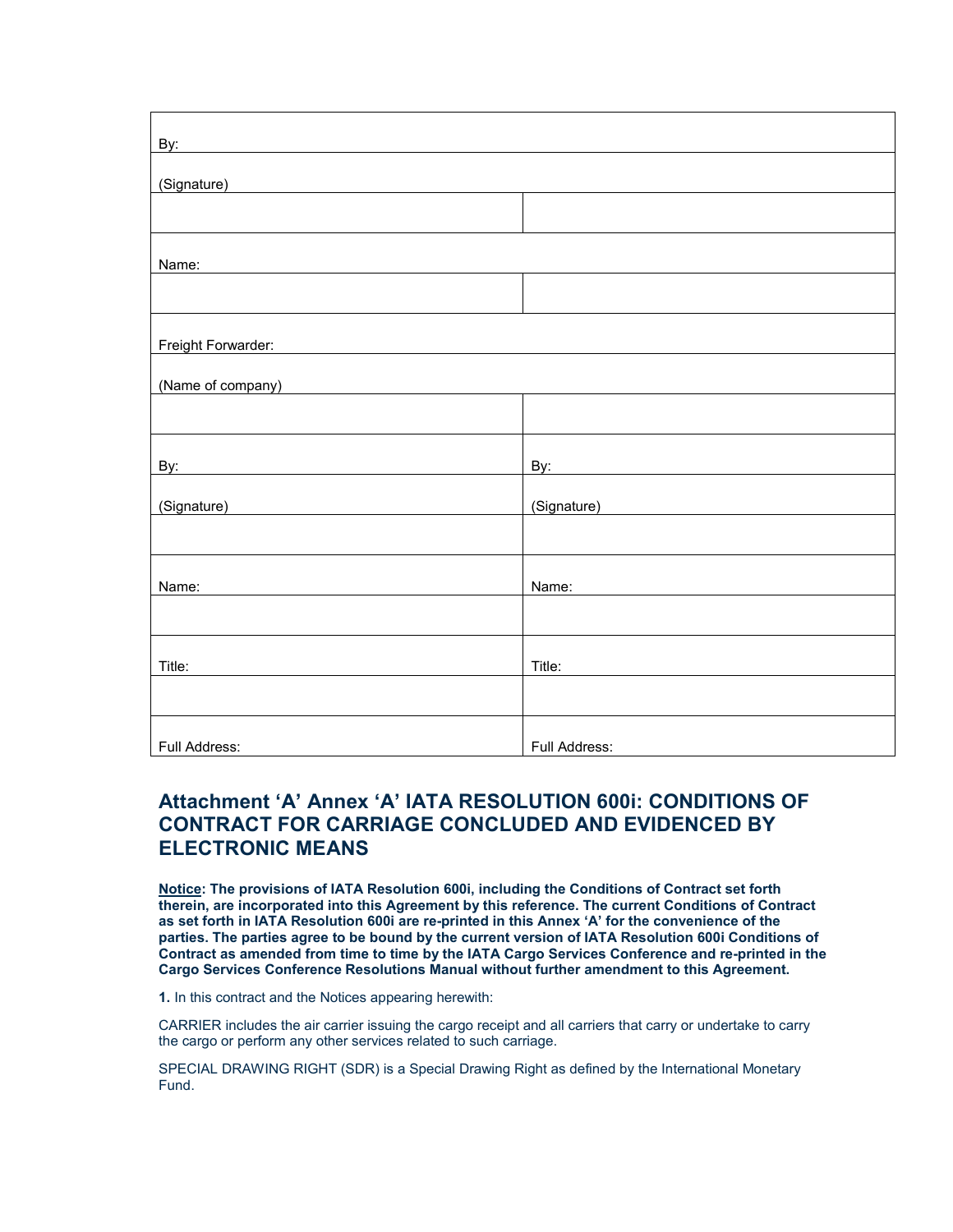| By: experience and the second contract of the second contract of the second contract of the second contract of the second contract of the second contract of the second contract of the second contract of the second contract       |                                                                                                                                                                                                                                      |
|--------------------------------------------------------------------------------------------------------------------------------------------------------------------------------------------------------------------------------------|--------------------------------------------------------------------------------------------------------------------------------------------------------------------------------------------------------------------------------------|
| (Signature)<br><u> 1980 - Jan Samuel Barbara, político establecer a la propia de la propia de la propia de la propia de la propi</u>                                                                                                 |                                                                                                                                                                                                                                      |
|                                                                                                                                                                                                                                      |                                                                                                                                                                                                                                      |
|                                                                                                                                                                                                                                      |                                                                                                                                                                                                                                      |
| Name:                                                                                                                                                                                                                                |                                                                                                                                                                                                                                      |
|                                                                                                                                                                                                                                      |                                                                                                                                                                                                                                      |
| Freight Forwarder:                                                                                                                                                                                                                   |                                                                                                                                                                                                                                      |
|                                                                                                                                                                                                                                      |                                                                                                                                                                                                                                      |
| (Name of company)                                                                                                                                                                                                                    |                                                                                                                                                                                                                                      |
|                                                                                                                                                                                                                                      |                                                                                                                                                                                                                                      |
| By: experience and the second contract of the second contract of the second contract of the second contract of the second contract of the second contract of the second contract of the second contract of the second contract       | By: the contract of the contract of the contract of the contract of the contract of the contract of the contract of the contract of the contract of the contract of the contract of the contract of the contract of the contra       |
| (Signature) <b>Subset of the Contract of the Contract of the Contract of the Contract of the Contract of the Contract of the Contract of the Contract of the Contract of the Contract of the Contract of the Contract of the Con</b> | (Signature) <b>Contract Contract Contract Contract Contract Contract Contract Contract Contract Contract Contract Contract Contract Contract Contract Contract Contract Contract Contract Contract Contract Contract Contract Co</b> |
|                                                                                                                                                                                                                                      |                                                                                                                                                                                                                                      |
| Name:                                                                                                                                                                                                                                | Name:                                                                                                                                                                                                                                |
|                                                                                                                                                                                                                                      |                                                                                                                                                                                                                                      |
| Title:                                                                                                                                                                                                                               | Title:                                                                                                                                                                                                                               |
|                                                                                                                                                                                                                                      |                                                                                                                                                                                                                                      |
| Full Address:                                                                                                                                                                                                                        | Full Address:                                                                                                                                                                                                                        |

# **Attachment 'A' Annex 'A' IATA RESOLUTION 600i: CONDITIONS OF CONTRACT FOR CARRIAGE CONCLUDED AND EVIDENCED BY ELECTRONIC MEANS**

**Notice: The provisions of IATA Resolution 600i, including the Conditions of Contract set forth therein, are incorporated into this Agreement by this reference. The current Conditions of Contract as set forth in IATA Resolution 600i are re-printed in this Annex 'A' for the convenience of the parties. The parties agree to be bound by the current version of IATA Resolution 600i Conditions of Contract as amended from time to time by the IATA Cargo Services Conference and re-printed in the Cargo Services Conference Resolutions Manual without further amendment to this Agreement.**

**1.** In this contract and the Notices appearing herewith:

CARRIER includes the air carrier issuing the cargo receipt and all carriers that carry or undertake to carry the cargo or perform any other services related to such carriage.

SPECIAL DRAWING RIGHT (SDR) is a Special Drawing Right as defined by the International Monetary Fund.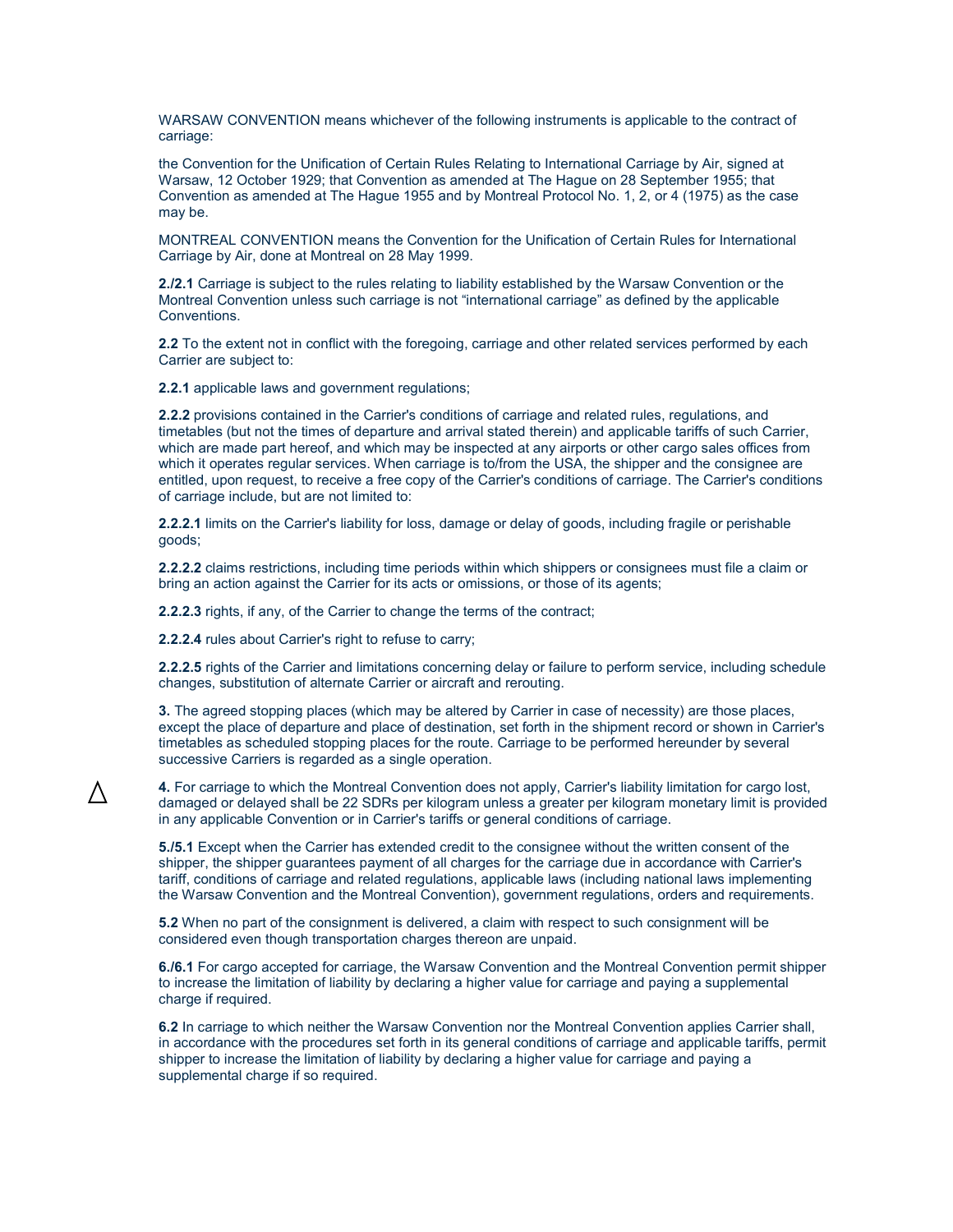WARSAW CONVENTION means whichever of the following instruments is applicable to the contract of carriage:

the Convention for the Unification of Certain Rules Relating to International Carriage by Air, signed at Warsaw, 12 October 1929; that Convention as amended at The Hague on 28 September 1955; that Convention as amended at The Hague 1955 and by Montreal Protocol No. 1, 2, or 4 (1975) as the case may be.

MONTREAL CONVENTION means the Convention for the Unification of Certain Rules for International Carriage by Air, done at Montreal on 28 May 1999.

**2./2.1** Carriage is subject to the rules relating to liability established by the Warsaw Convention or the Montreal Convention unless such carriage is not "international carriage" as defined by the applicable Conventions.

**2.2** To the extent not in conflict with the foregoing, carriage and other related services performed by each Carrier are subject to:

**2.2.1** applicable laws and government regulations;

**2.2.2** provisions contained in the Carrier's conditions of carriage and related rules, regulations, and timetables (but not the times of departure and arrival stated therein) and applicable tariffs of such Carrier, which are made part hereof, and which may be inspected at any airports or other cargo sales offices from which it operates regular services. When carriage is to/from the USA, the shipper and the consignee are entitled, upon request, to receive a free copy of the Carrier's conditions of carriage. The Carrier's conditions of carriage include, but are not limited to:

**2.2.2.1** limits on the Carrier's liability for loss, damage or delay of goods, including fragile or perishable goods;

**2.2.2.2** claims restrictions, including time periods within which shippers or consignees must file a claim or bring an action against the Carrier for its acts or omissions, or those of its agents;

**2.2.2.3** rights, if any, of the Carrier to change the terms of the contract;

**2.2.2.4** rules about Carrier's right to refuse to carry;

**2.2.2.5** rights of the Carrier and limitations concerning delay or failure to perform service, including schedule changes, substitution of alternate Carrier or aircraft and rerouting.

**3.** The agreed stopping places (which may be altered by Carrier in case of necessity) are those places, except the place of departure and place of destination, set forth in the shipment record or shown in Carrier's timetables as scheduled stopping places for the route. Carriage to be performed hereunder by several successive Carriers is regarded as a single operation.

**4.** For carriage to which the Montreal Convention does not apply, Carrier's liability limitation for cargo lost, damaged or delayed shall be 22 SDRs per kilogram unless a greater per kilogram monetary limit is provided in any applicable Convention or in Carrier's tariffs or general conditions of carriage.

**5./5.1** Except when the Carrier has extended credit to the consignee without the written consent of the shipper, the shipper guarantees payment of all charges for the carriage due in accordance with Carrier's tariff, conditions of carriage and related regulations, applicable laws (including national laws implementing the Warsaw Convention and the Montreal Convention), government regulations, orders and requirements.

**5.2** When no part of the consignment is delivered, a claim with respect to such consignment will be considered even though transportation charges thereon are unpaid.

**6./6.1** For cargo accepted for carriage, the Warsaw Convention and the Montreal Convention permit shipper to increase the limitation of liability by declaring a higher value for carriage and paying a supplemental charge if required.

**6.2** In carriage to which neither the Warsaw Convention nor the Montreal Convention applies Carrier shall, in accordance with the procedures set forth in its general conditions of carriage and applicable tariffs, permit shipper to increase the limitation of liability by declaring a higher value for carriage and paying a supplemental charge if so required.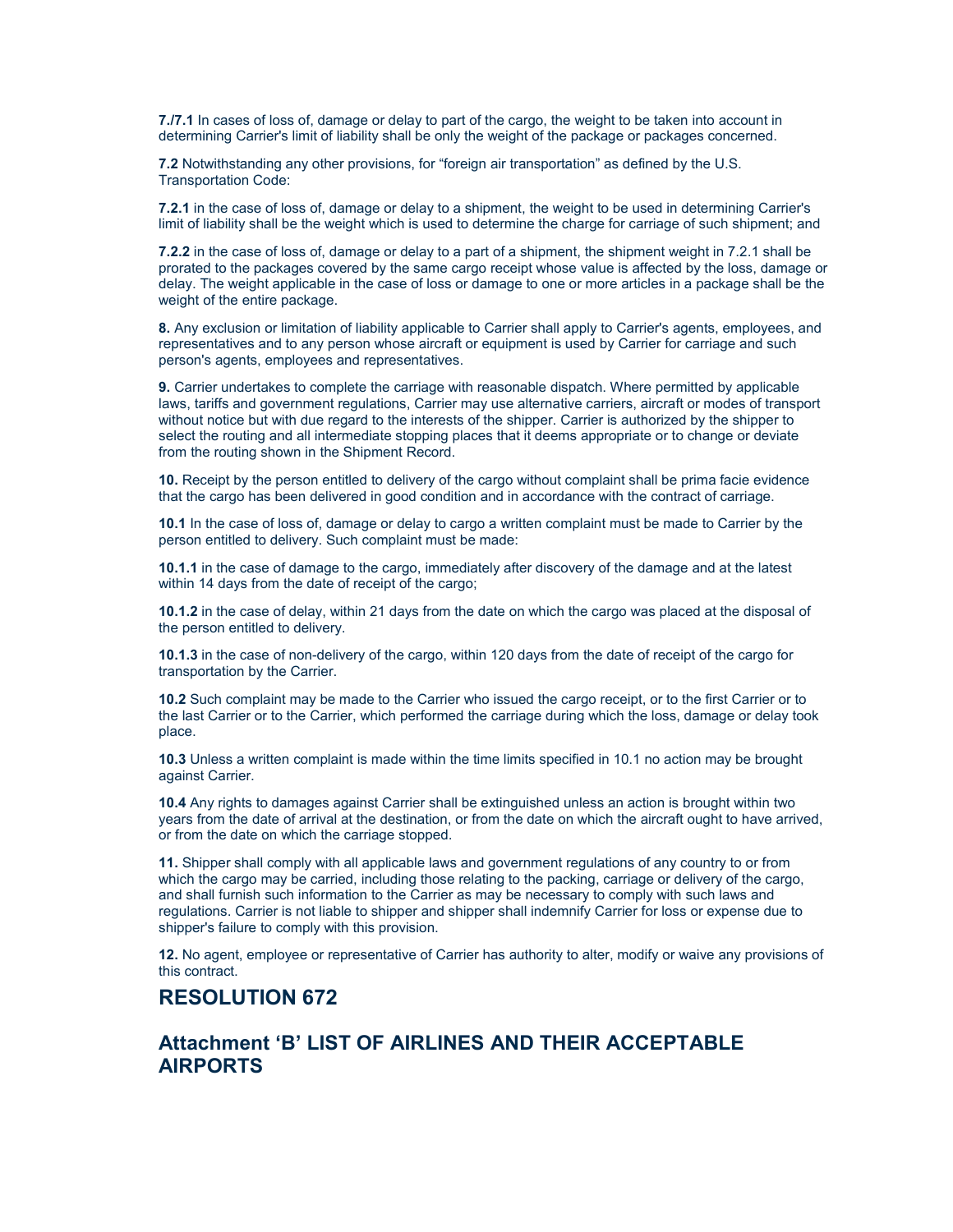**7./7.1** In cases of loss of, damage or delay to part of the cargo, the weight to be taken into account in determining Carrier's limit of liability shall be only the weight of the package or packages concerned.

**7.2** Notwithstanding any other provisions, for "foreign air transportation" as defined by the U.S. Transportation Code:

**7.2.1** in the case of loss of, damage or delay to a shipment, the weight to be used in determining Carrier's limit of liability shall be the weight which is used to determine the charge for carriage of such shipment; and

**7.2.2** in the case of loss of, damage or delay to a part of a shipment, the shipment weight in 7.2.1 shall be prorated to the packages covered by the same cargo receipt whose value is affected by the loss, damage or delay. The weight applicable in the case of loss or damage to one or more articles in a package shall be the weight of the entire package.

**8.** Any exclusion or limitation of liability applicable to Carrier shall apply to Carrier's agents, employees, and representatives and to any person whose aircraft or equipment is used by Carrier for carriage and such person's agents, employees and representatives.

**9.** Carrier undertakes to complete the carriage with reasonable dispatch. Where permitted by applicable laws, tariffs and government regulations, Carrier may use alternative carriers, aircraft or modes of transport without notice but with due regard to the interests of the shipper. Carrier is authorized by the shipper to select the routing and all intermediate stopping places that it deems appropriate or to change or deviate from the routing shown in the Shipment Record.

**10.** Receipt by the person entitled to delivery of the cargo without complaint shall be prima facie evidence that the cargo has been delivered in good condition and in accordance with the contract of carriage.

**10.1** In the case of loss of, damage or delay to cargo a written complaint must be made to Carrier by the person entitled to delivery. Such complaint must be made:

**10.1.1** in the case of damage to the cargo, immediately after discovery of the damage and at the latest within 14 days from the date of receipt of the cargo;

**10.1.2** in the case of delay, within 21 days from the date on which the cargo was placed at the disposal of the person entitled to delivery.

**10.1.3** in the case of non-delivery of the cargo, within 120 days from the date of receipt of the cargo for transportation by the Carrier.

**10.2** Such complaint may be made to the Carrier who issued the cargo receipt, or to the first Carrier or to the last Carrier or to the Carrier, which performed the carriage during which the loss, damage or delay took place.

**10.3** Unless a written complaint is made within the time limits specified in 10.1 no action may be brought against Carrier.

**10.4** Any rights to damages against Carrier shall be extinguished unless an action is brought within two years from the date of arrival at the destination, or from the date on which the aircraft ought to have arrived, or from the date on which the carriage stopped.

**11.** Shipper shall comply with all applicable laws and government regulations of any country to or from which the cargo may be carried, including those relating to the packing, carriage or delivery of the cargo, and shall furnish such information to the Carrier as may be necessary to comply with such laws and regulations. Carrier is not liable to shipper and shipper shall indemnify Carrier for loss or expense due to shipper's failure to comply with this provision.

**12.** No agent, employee or representative of Carrier has authority to alter, modify or waive any provisions of this contract.

## **RESOLUTION 672**

## **Attachment 'B' LIST OF AIRLINES AND THEIR ACCEPTABLE AIRPORTS**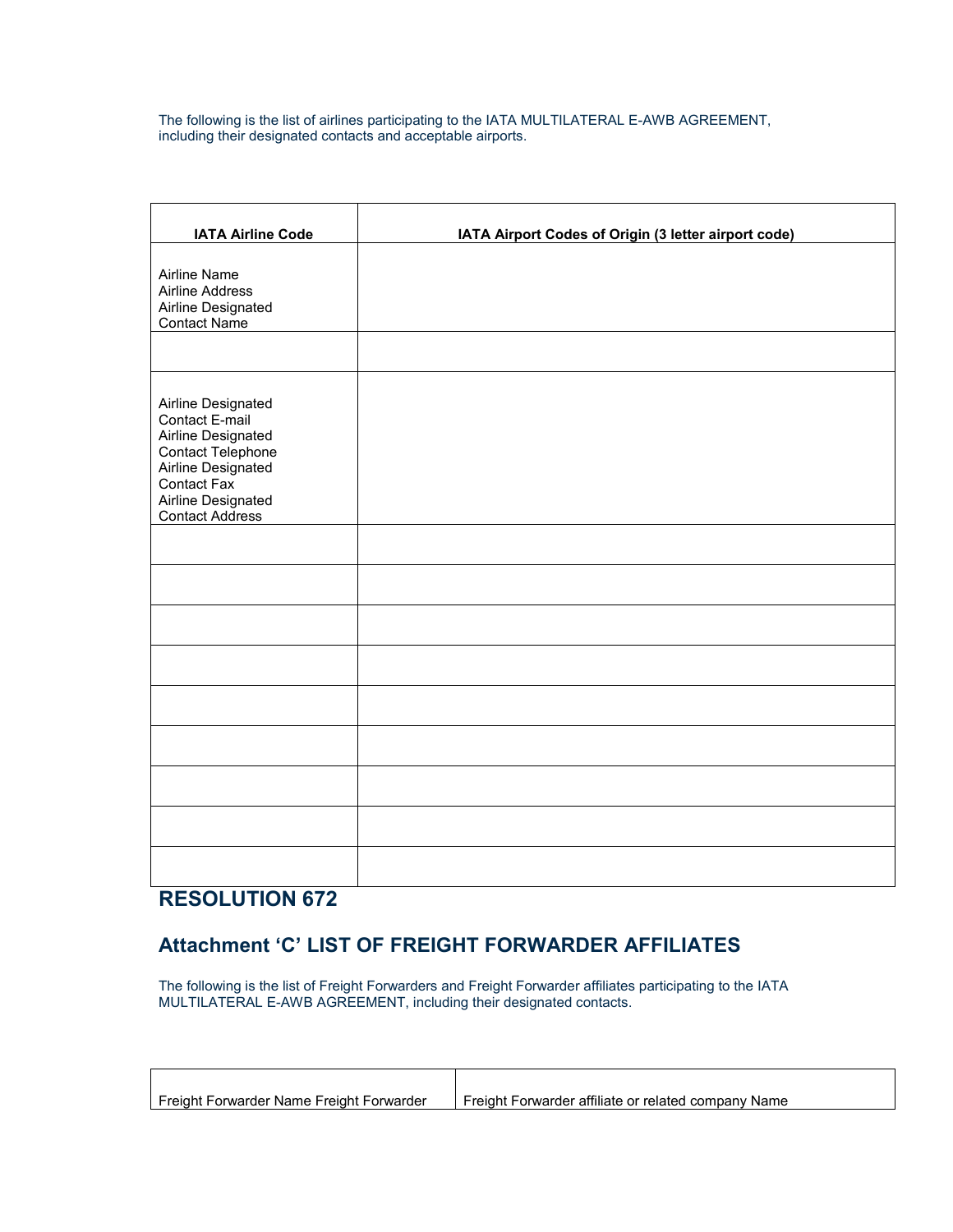The following is the list of airlines participating to the IATA MULTILATERAL E-AWB AGREEMENT, including their designated contacts and acceptable airports.

| <b>IATA Airline Code</b>                                                                                                                                             | IATA Airport Codes of Origin (3 letter airport code) |
|----------------------------------------------------------------------------------------------------------------------------------------------------------------------|------------------------------------------------------|
| <b>Airline Name</b><br><b>Airline Address</b><br>Airline Designated<br><b>Contact Name</b>                                                                           |                                                      |
| Airline Designated<br>Contact E-mail<br>Airline Designated<br>Contact Telephone<br>Airline Designated<br>Contact Fax<br>Airline Designated<br><b>Contact Address</b> |                                                      |
|                                                                                                                                                                      |                                                      |
|                                                                                                                                                                      |                                                      |
|                                                                                                                                                                      |                                                      |
|                                                                                                                                                                      |                                                      |
|                                                                                                                                                                      |                                                      |
|                                                                                                                                                                      |                                                      |
|                                                                                                                                                                      |                                                      |
|                                                                                                                                                                      |                                                      |

# **RESOLUTION 672**

 $\overline{\phantom{a}}$ 

# **Attachment 'C' LIST OF FREIGHT FORWARDER AFFILIATES**

The following is the list of Freight Forwarders and Freight Forwarder affiliates participating to the IATA MULTILATERAL E-AWB AGREEMENT, including their designated contacts.

| Freight Forwarder Name Freight Forwarder | Freight Forwarder affiliate or related company Name |
|------------------------------------------|-----------------------------------------------------|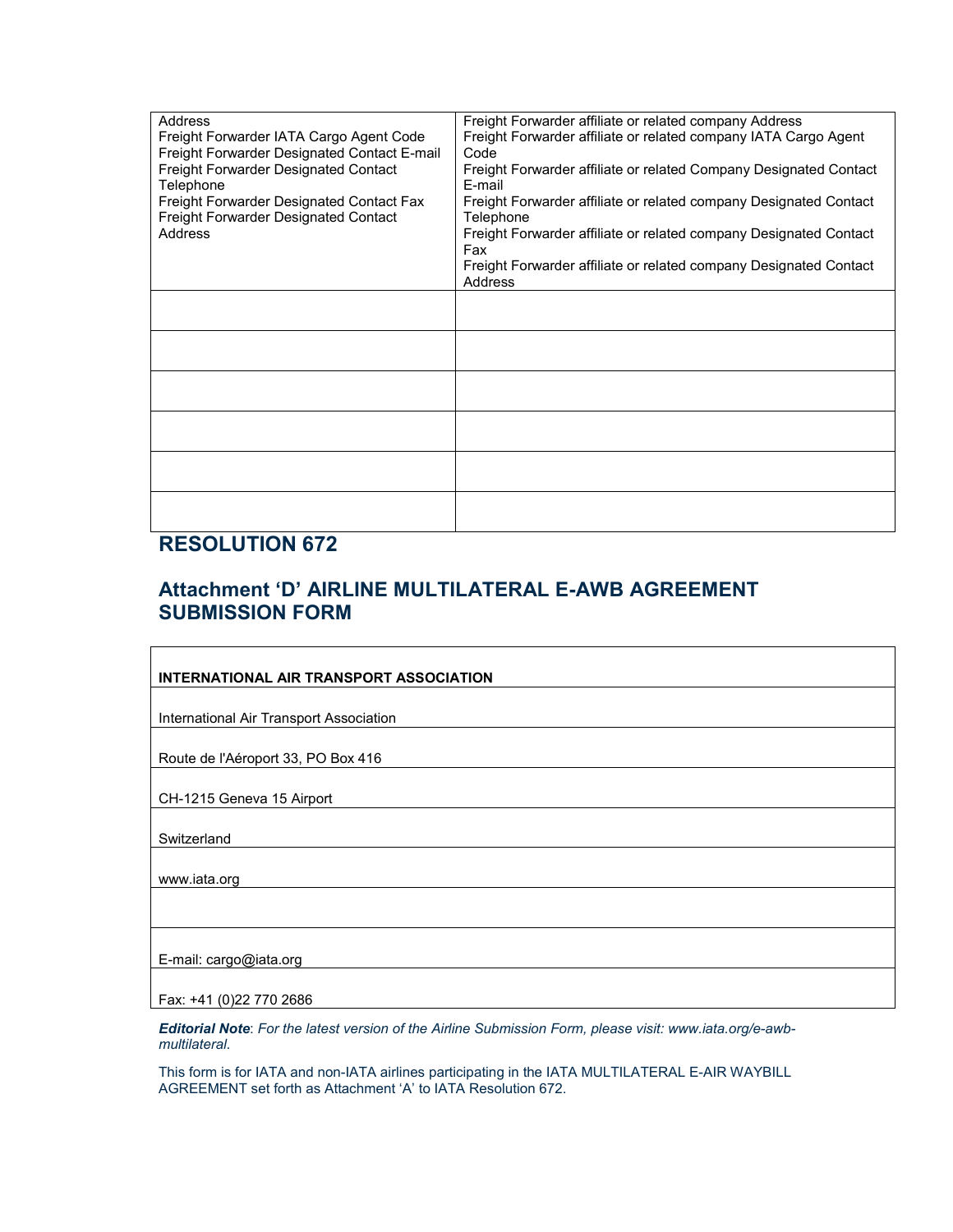| <b>Address</b><br>Freight Forwarder IATA Cargo Agent Code<br>Freight Forwarder Designated Contact E-mail<br>Freight Forwarder Designated Contact<br>Telephone<br>Freight Forwarder Designated Contact Fax<br>Freight Forwarder Designated Contact<br>Address | Freight Forwarder affiliate or related company Address<br>Freight Forwarder affiliate or related company IATA Cargo Agent<br>Code<br>Freight Forwarder affiliate or related Company Designated Contact<br>E-mail<br>Freight Forwarder affiliate or related company Designated Contact<br>Telephone<br>Freight Forwarder affiliate or related company Designated Contact<br>Fax<br>Freight Forwarder affiliate or related company Designated Contact<br>Address |
|--------------------------------------------------------------------------------------------------------------------------------------------------------------------------------------------------------------------------------------------------------------|----------------------------------------------------------------------------------------------------------------------------------------------------------------------------------------------------------------------------------------------------------------------------------------------------------------------------------------------------------------------------------------------------------------------------------------------------------------|
|                                                                                                                                                                                                                                                              |                                                                                                                                                                                                                                                                                                                                                                                                                                                                |
|                                                                                                                                                                                                                                                              |                                                                                                                                                                                                                                                                                                                                                                                                                                                                |
|                                                                                                                                                                                                                                                              |                                                                                                                                                                                                                                                                                                                                                                                                                                                                |
|                                                                                                                                                                                                                                                              |                                                                                                                                                                                                                                                                                                                                                                                                                                                                |
|                                                                                                                                                                                                                                                              |                                                                                                                                                                                                                                                                                                                                                                                                                                                                |

# **RESOLUTION 672**

# **Attachment 'D' AIRLINE MULTILATERAL E-AWB AGREEMENT SUBMISSION FORM**

*Editorial Note*: *For the latest version of the Airline Submission Form, please visit: www.iata.org/e-awbmultilateral*.

This form is for IATA and non-IATA airlines participating in the IATA MULTILATERAL E-AIR WAYBILL AGREEMENT set forth as Attachment 'A' to IATA Resolution 672.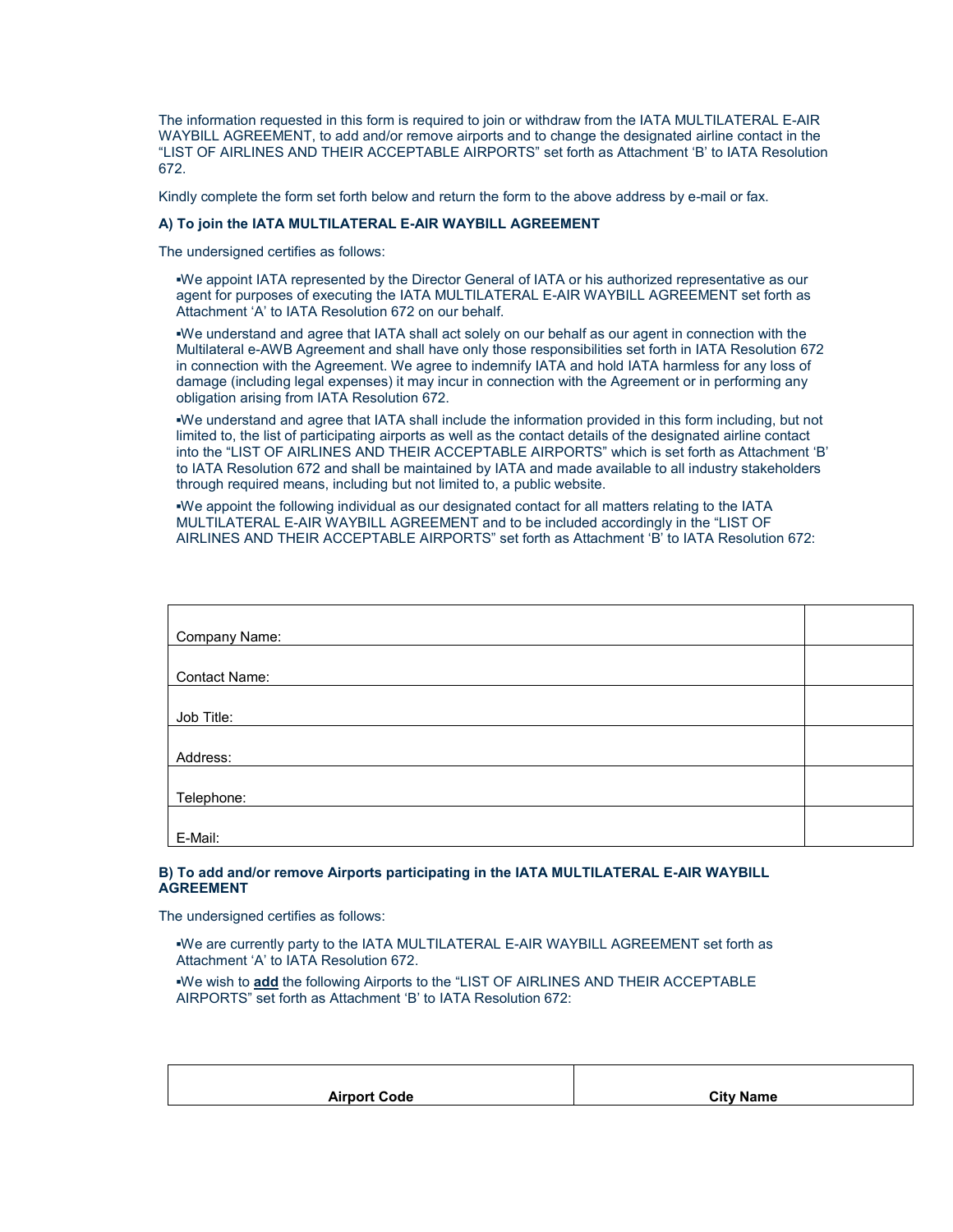The information requested in this form is required to join or withdraw from the IATA MULTILATERAL E-AIR WAYBILL AGREEMENT, to add and/or remove airports and to change the designated airline contact in the "LIST OF AIRLINES AND THEIR ACCEPTABLE AIRPORTS" set forth as Attachment 'B' to IATA Resolution 672.

Kindly complete the form set forth below and return the form to the above address by e-mail or fax.

#### **A) To join the IATA MULTILATERAL E-AIR WAYBILL AGREEMENT**

The undersigned certifies as follows:

**▪**We appoint IATA represented by the Director General of IATA or his authorized representative as our agent for purposes of executing the IATA MULTILATERAL E-AIR WAYBILL AGREEMENT set forth as Attachment 'A' to IATA Resolution 672 on our behalf.

**▪**We understand and agree that IATA shall act solely on our behalf as our agent in connection with the Multilateral e-AWB Agreement and shall have only those responsibilities set forth in IATA Resolution 672 in connection with the Agreement. We agree to indemnify IATA and hold IATA harmless for any loss of damage (including legal expenses) it may incur in connection with the Agreement or in performing any obligation arising from IATA Resolution 672.

**▪**We understand and agree that IATA shall include the information provided in this form including, but not limited to, the list of participating airports as well as the contact details of the designated airline contact into the "LIST OF AIRLINES AND THEIR ACCEPTABLE AIRPORTS" which is set forth as Attachment 'B' to IATA Resolution 672 and shall be maintained by IATA and made available to all industry stakeholders through required means, including but not limited to, a public website.

**▪**We appoint the following individual as our designated contact for all matters relating to the IATA MULTILATERAL E-AIR WAYBILL AGREEMENT and to be included accordingly in the "LIST OF AIRLINES AND THEIR ACCEPTABLE AIRPORTS" set forth as Attachment 'B' to IATA Resolution 672:

| Company Name: |  |
|---------------|--|
|               |  |
| Contact Name: |  |
|               |  |
| Job Title:    |  |
|               |  |
| Address:      |  |
|               |  |
| Telephone:    |  |
|               |  |
| E-Mail:       |  |

#### **B) To add and/or remove Airports participating in the IATA MULTILATERAL E-AIR WAYBILL AGREEMENT**

The undersigned certifies as follows:

**▪**We are currently party to the IATA MULTILATERAL E-AIR WAYBILL AGREEMENT set forth as Attachment 'A' to IATA Resolution 672.

**▪**We wish to **add** the following Airports to the "LIST OF AIRLINES AND THEIR ACCEPTABLE AIRPORTS" set forth as Attachment 'B' to IATA Resolution 672:

| <b>Airport Code</b> | <b>City Name</b> |
|---------------------|------------------|
|                     |                  |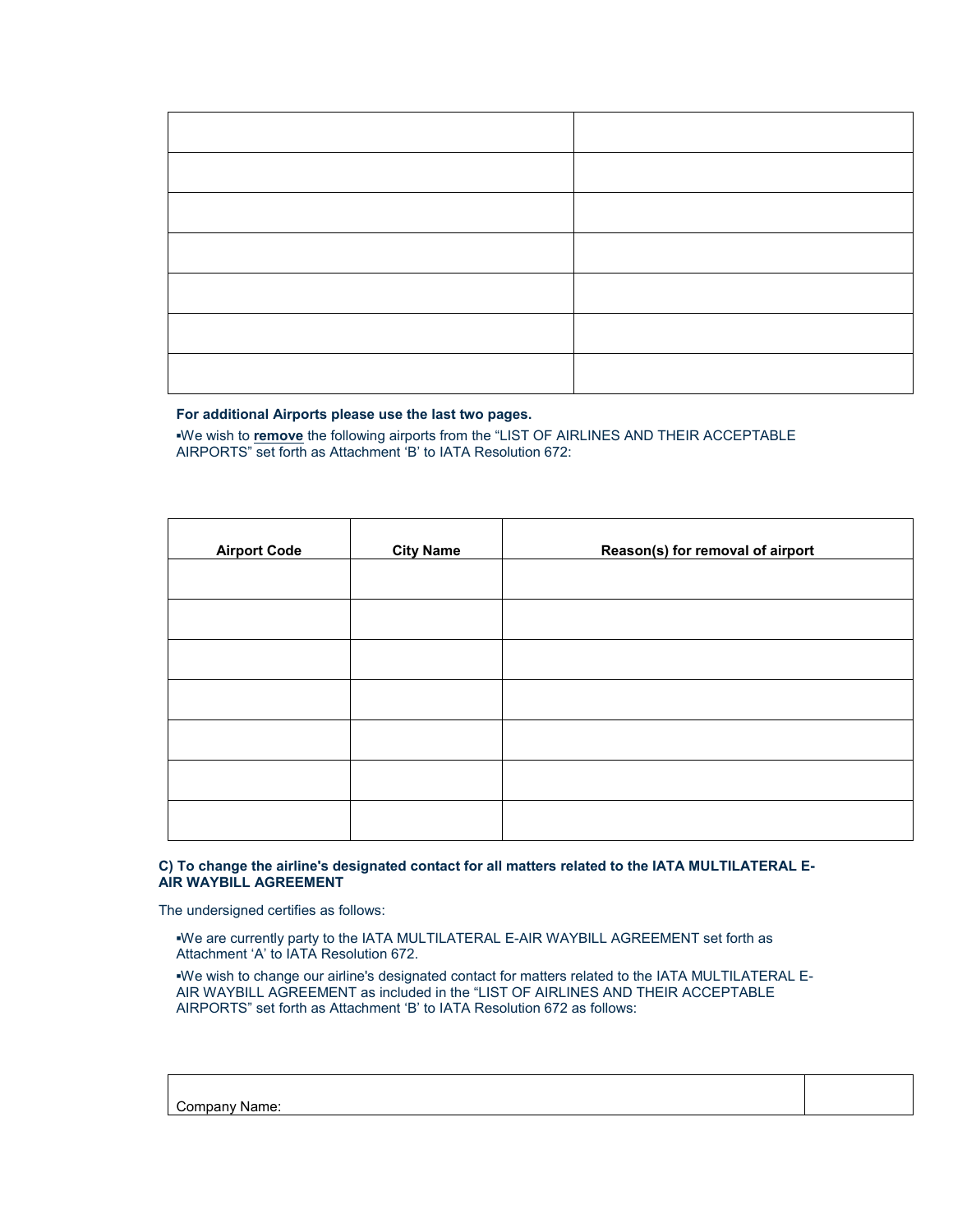#### **For additional Airports please use the last two pages.**

**▪**We wish to **remove** the following airports from the "LIST OF AIRLINES AND THEIR ACCEPTABLE AIRPORTS" set forth as Attachment 'B' to IATA Resolution 672:

| <b>Airport Code</b> | <b>City Name</b> | Reason(s) for removal of airport |
|---------------------|------------------|----------------------------------|
|                     |                  |                                  |
|                     |                  |                                  |
|                     |                  |                                  |
|                     |                  |                                  |
|                     |                  |                                  |
|                     |                  |                                  |
|                     |                  |                                  |

#### **C) To change the airline's designated contact for all matters related to the IATA MULTILATERAL E-AIR WAYBILL AGREEMENT**

The undersigned certifies as follows:

**▪**We are currently party to the IATA MULTILATERAL E-AIR WAYBILL AGREEMENT set forth as Attachment 'A' to IATA Resolution 672.

**▪**We wish to change our airline's designated contact for matters related to the IATA MULTILATERAL E-AIR WAYBILL AGREEMENT as included in the "LIST OF AIRLINES AND THEIR ACCEPTABLE AIRPORTS" set forth as Attachment 'B' to IATA Resolution 672 as follows:

Company Name: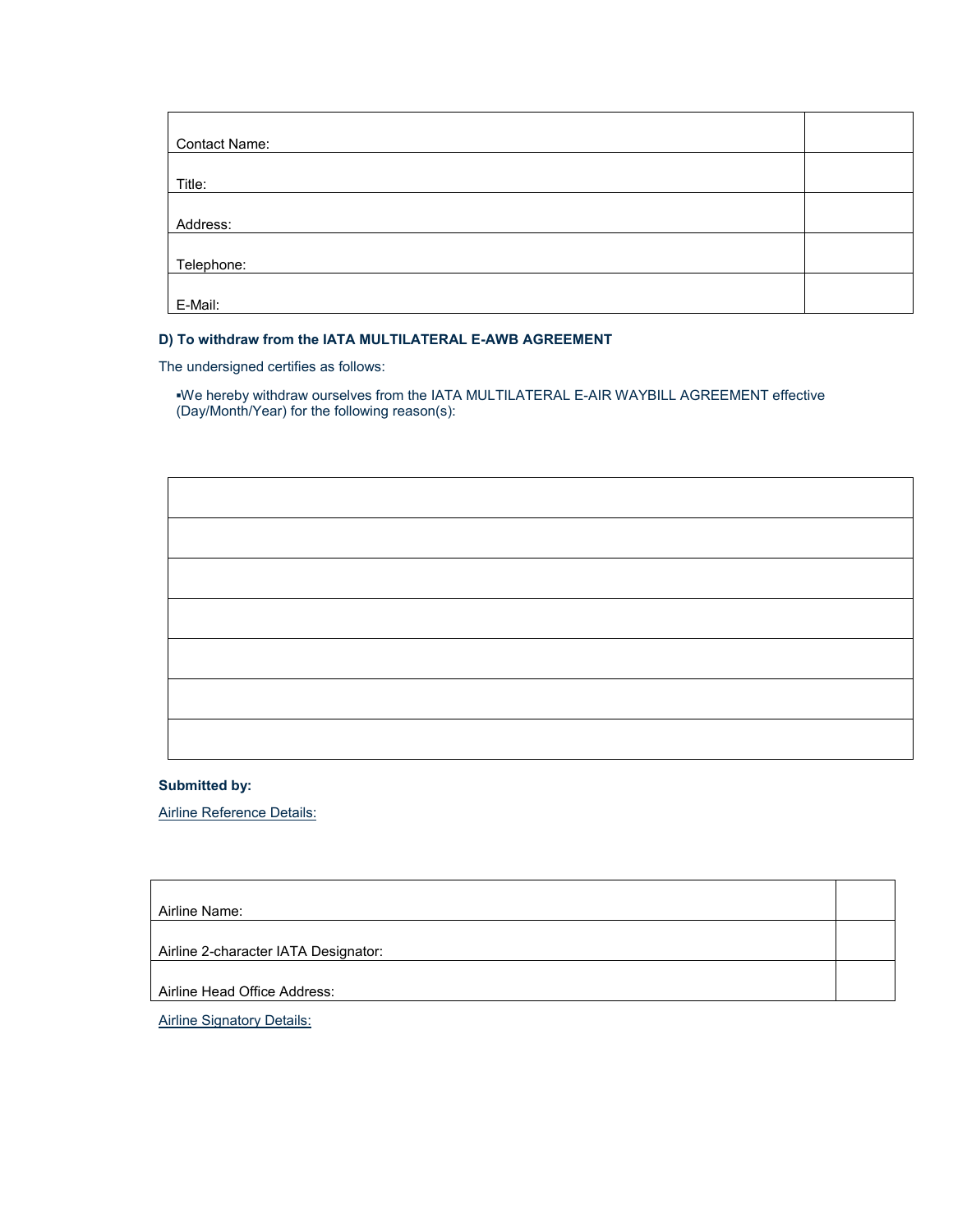| Contact Name: |  |
|---------------|--|
|               |  |
| Title:        |  |
|               |  |
| Address:      |  |
|               |  |
| Telephone:    |  |
|               |  |
| E-Mail:       |  |

### **D) To withdraw from the IATA MULTILATERAL E-AWB AGREEMENT**

The undersigned certifies as follows:

**▪**We hereby withdraw ourselves from the IATA MULTILATERAL E-AIR WAYBILL AGREEMENT effective (Day/Month/Year) for the following reason(s):

**Submitted by:**

Airline Reference Details:

| Airline Name:                        |  |
|--------------------------------------|--|
|                                      |  |
| Airline 2-character IATA Designator: |  |
|                                      |  |
| Airline Head Office Address:         |  |

**Airline Signatory Details:**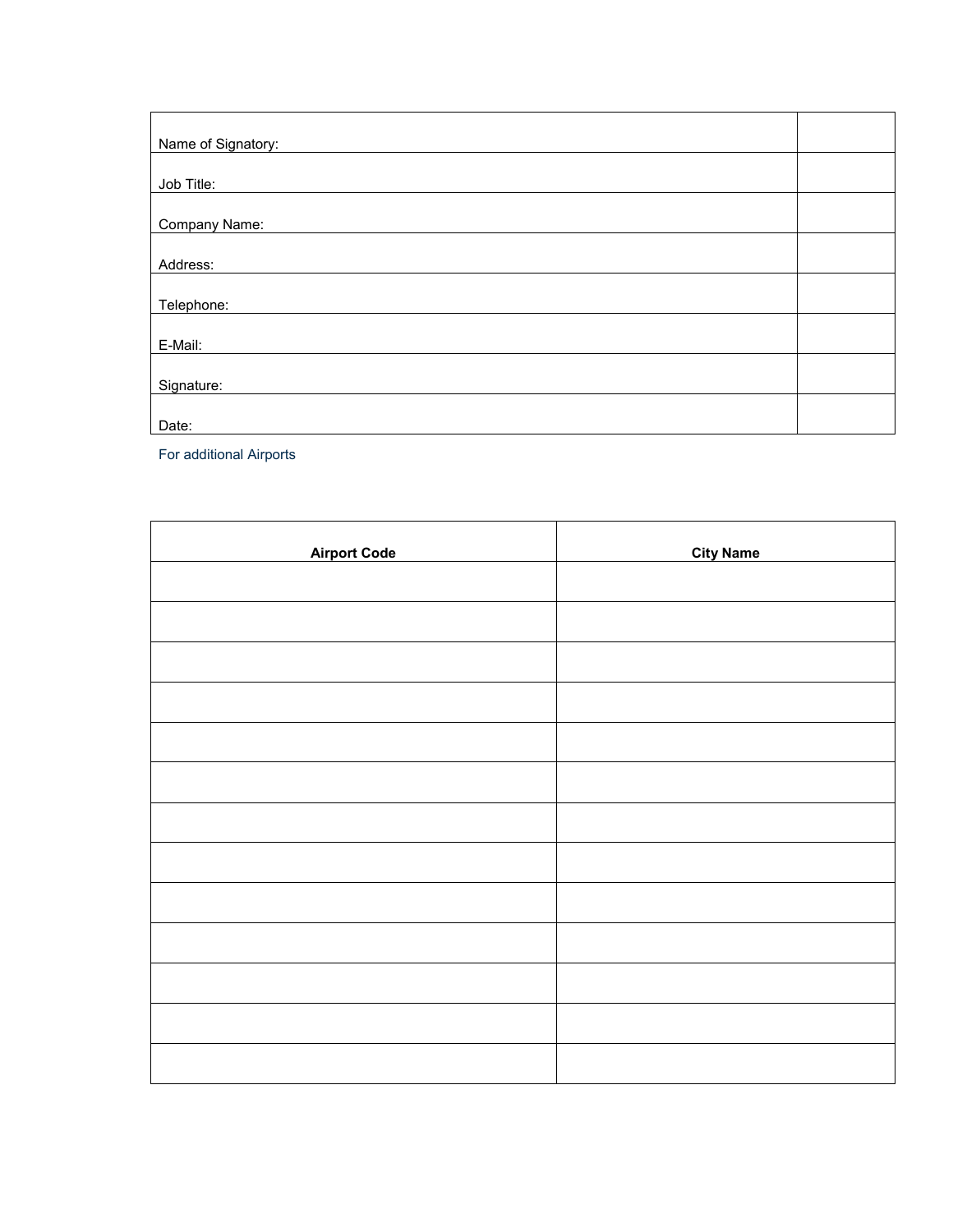| Name of Signatory: |  |
|--------------------|--|
|                    |  |
| Job Title:         |  |
|                    |  |
| Company Name:      |  |
|                    |  |
| Address:           |  |
|                    |  |
| Telephone:         |  |
|                    |  |
| E-Mail:            |  |
|                    |  |
| Signature:         |  |
|                    |  |
| Date:              |  |

For additional Airports

| <b>Airport Code</b> | <b>City Name</b> |
|---------------------|------------------|
|                     |                  |
|                     |                  |
|                     |                  |
|                     |                  |
|                     |                  |
|                     |                  |
|                     |                  |
|                     |                  |
|                     |                  |
|                     |                  |
|                     |                  |
|                     |                  |
|                     |                  |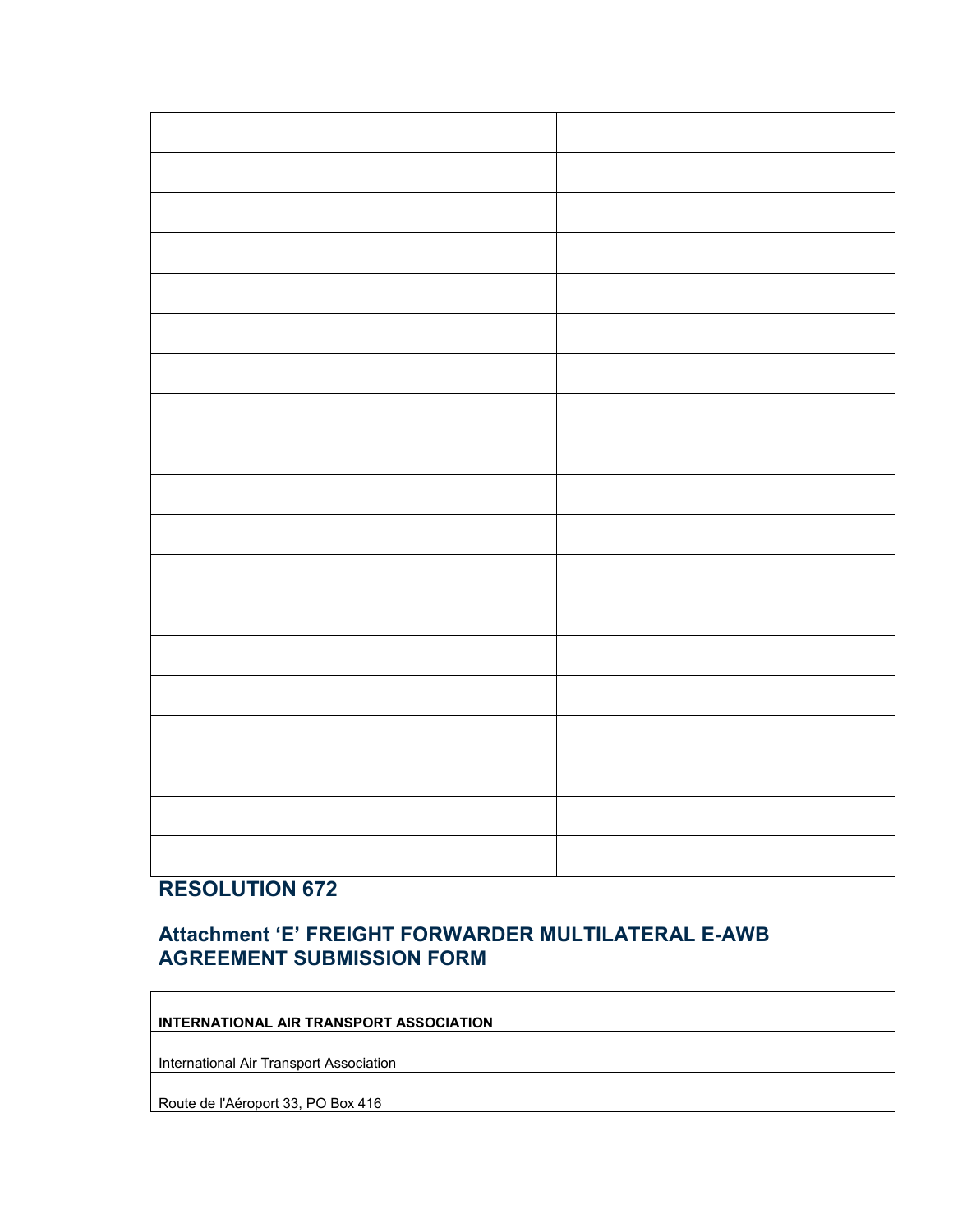# **RESOLUTION 672**

# **Attachment 'E' FREIGHT FORWARDER MULTILATERAL E-AWB AGREEMENT SUBMISSION FORM**

## **INTERNATIONAL AIR TRANSPORT ASSOCIATION**

International Air Transport Association

Route de l'Aéroport 33, PO Box 416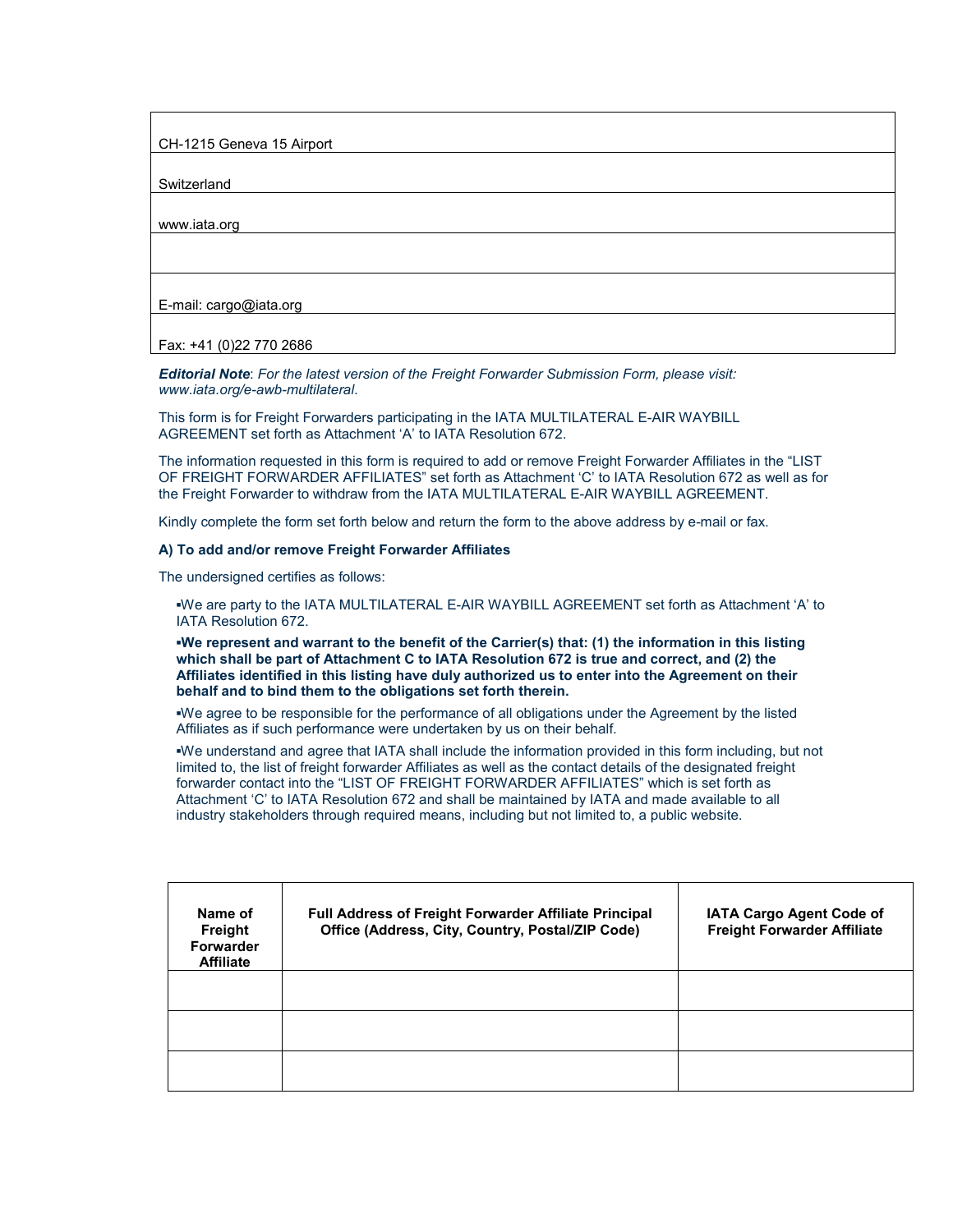CH-1215 Geneva 15 Airport

**Switzerland** 

www.iata.org

E-mail: cargo@iata.org

Fax: +41 (0)22 770 2686

*Editorial Note*: *For the latest version of the Freight Forwarder Submission Form, please visit: www.iata.org/e-awb-multilateral*.

This form is for Freight Forwarders participating in the IATA MULTILATERAL E-AIR WAYBILL AGREEMENT set forth as Attachment 'A' to IATA Resolution 672.

The information requested in this form is required to add or remove Freight Forwarder Affiliates in the "LIST OF FREIGHT FORWARDER AFFILIATES" set forth as Attachment 'C' to IATA Resolution 672 as well as for the Freight Forwarder to withdraw from the IATA MULTILATERAL E-AIR WAYBILL AGREEMENT.

Kindly complete the form set forth below and return the form to the above address by e-mail or fax.

#### **A) To add and/or remove Freight Forwarder Affiliates**

The undersigned certifies as follows:

**▪**We are party to the IATA MULTILATERAL E-AIR WAYBILL AGREEMENT set forth as Attachment 'A' to IATA Resolution 672.

**▪We represent and warrant to the benefit of the Carrier(s) that: (1) the information in this listing which shall be part of Attachment C to IATA Resolution 672 is true and correct, and (2) the Affiliates identified in this listing have duly authorized us to enter into the Agreement on their behalf and to bind them to the obligations set forth therein.**

**▪**We agree to be responsible for the performance of all obligations under the Agreement by the listed Affiliates as if such performance were undertaken by us on their behalf.

**▪**We understand and agree that IATA shall include the information provided in this form including, but not limited to, the list of freight forwarder Affiliates as well as the contact details of the designated freight forwarder contact into the "LIST OF FREIGHT FORWARDER AFFILIATES" which is set forth as Attachment 'C' to IATA Resolution 672 and shall be maintained by IATA and made available to all industry stakeholders through required means, including but not limited to, a public website.

| Name of<br><b>Freight</b><br>Forwarder<br><b>Affiliate</b> | Full Address of Freight Forwarder Affiliate Principal<br>Office (Address, City, Country, Postal/ZIP Code) | IATA Cargo Agent Code of<br><b>Freight Forwarder Affiliate</b> |
|------------------------------------------------------------|-----------------------------------------------------------------------------------------------------------|----------------------------------------------------------------|
|                                                            |                                                                                                           |                                                                |
|                                                            |                                                                                                           |                                                                |
|                                                            |                                                                                                           |                                                                |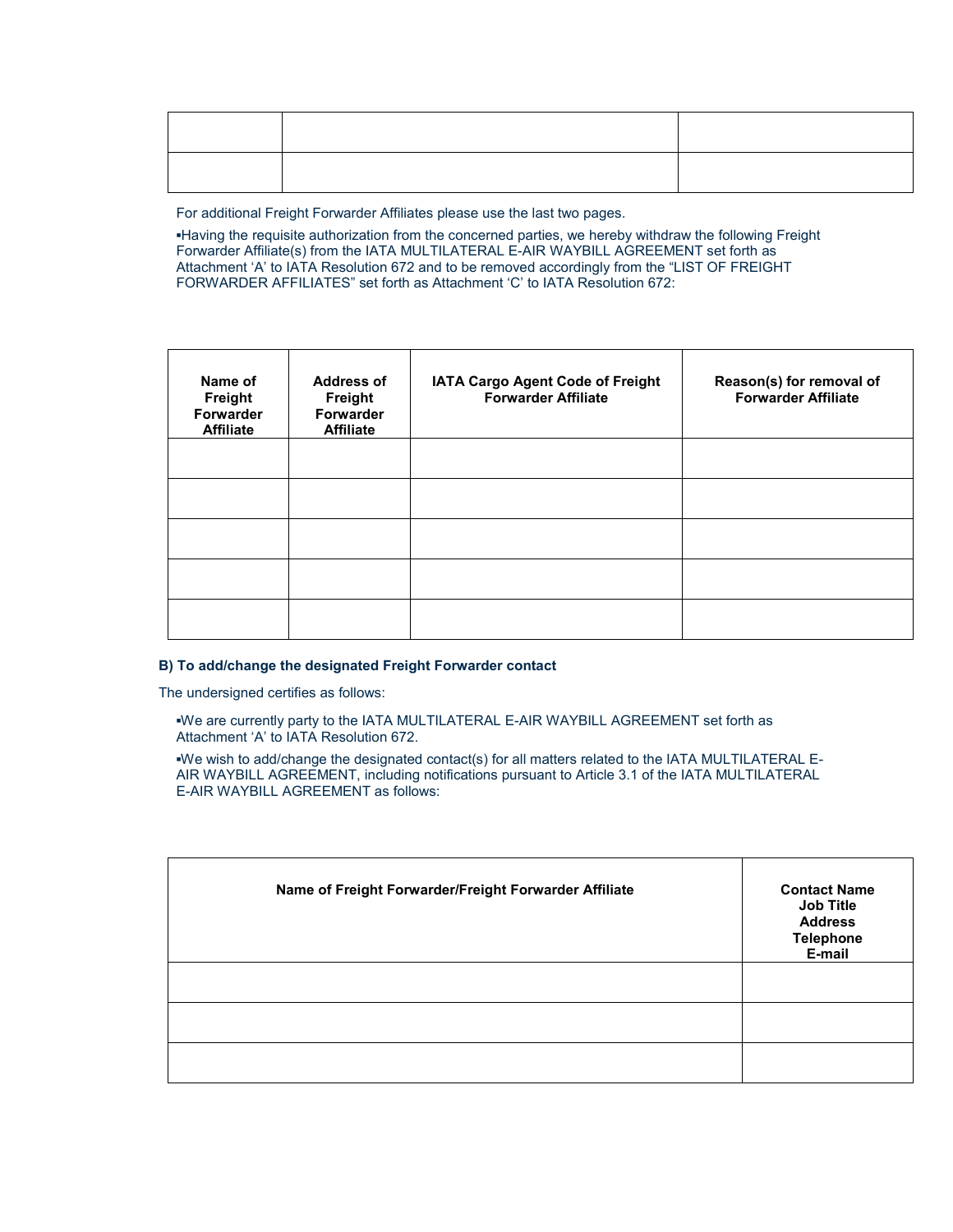For additional Freight Forwarder Affiliates please use the last two pages.

**▪**Having the requisite authorization from the concerned parties, we hereby withdraw the following Freight Forwarder Affiliate(s) from the IATA MULTILATERAL E-AIR WAYBILL AGREEMENT set forth as Attachment 'A' to IATA Resolution 672 and to be removed accordingly from the "LIST OF FREIGHT FORWARDER AFFILIATES" set forth as Attachment 'C' to IATA Resolution 672:

| <b>Address of</b><br>Freight<br>Forwarder<br><b>Affiliate</b> | IATA Cargo Agent Code of Freight<br><b>Forwarder Affiliate</b> | Reason(s) for removal of<br><b>Forwarder Affiliate</b> |
|---------------------------------------------------------------|----------------------------------------------------------------|--------------------------------------------------------|
|                                                               |                                                                |                                                        |
|                                                               |                                                                |                                                        |
|                                                               |                                                                |                                                        |
|                                                               |                                                                |                                                        |
|                                                               |                                                                |                                                        |

### **B) To add/change the designated Freight Forwarder contact**

The undersigned certifies as follows:

**▪**We are currently party to the IATA MULTILATERAL E-AIR WAYBILL AGREEMENT set forth as Attachment 'A' to IATA Resolution 672.

**▪**We wish to add/change the designated contact(s) for all matters related to the IATA MULTILATERAL E-AIR WAYBILL AGREEMENT, including notifications pursuant to Article 3.1 of the IATA MULTILATERAL E-AIR WAYBILL AGREEMENT as follows:

| Name of Freight Forwarder/Freight Forwarder Affiliate | <b>Contact Name</b><br><b>Job Title</b><br><b>Address</b><br><b>Telephone</b><br>E-mail |
|-------------------------------------------------------|-----------------------------------------------------------------------------------------|
|                                                       |                                                                                         |
|                                                       |                                                                                         |
|                                                       |                                                                                         |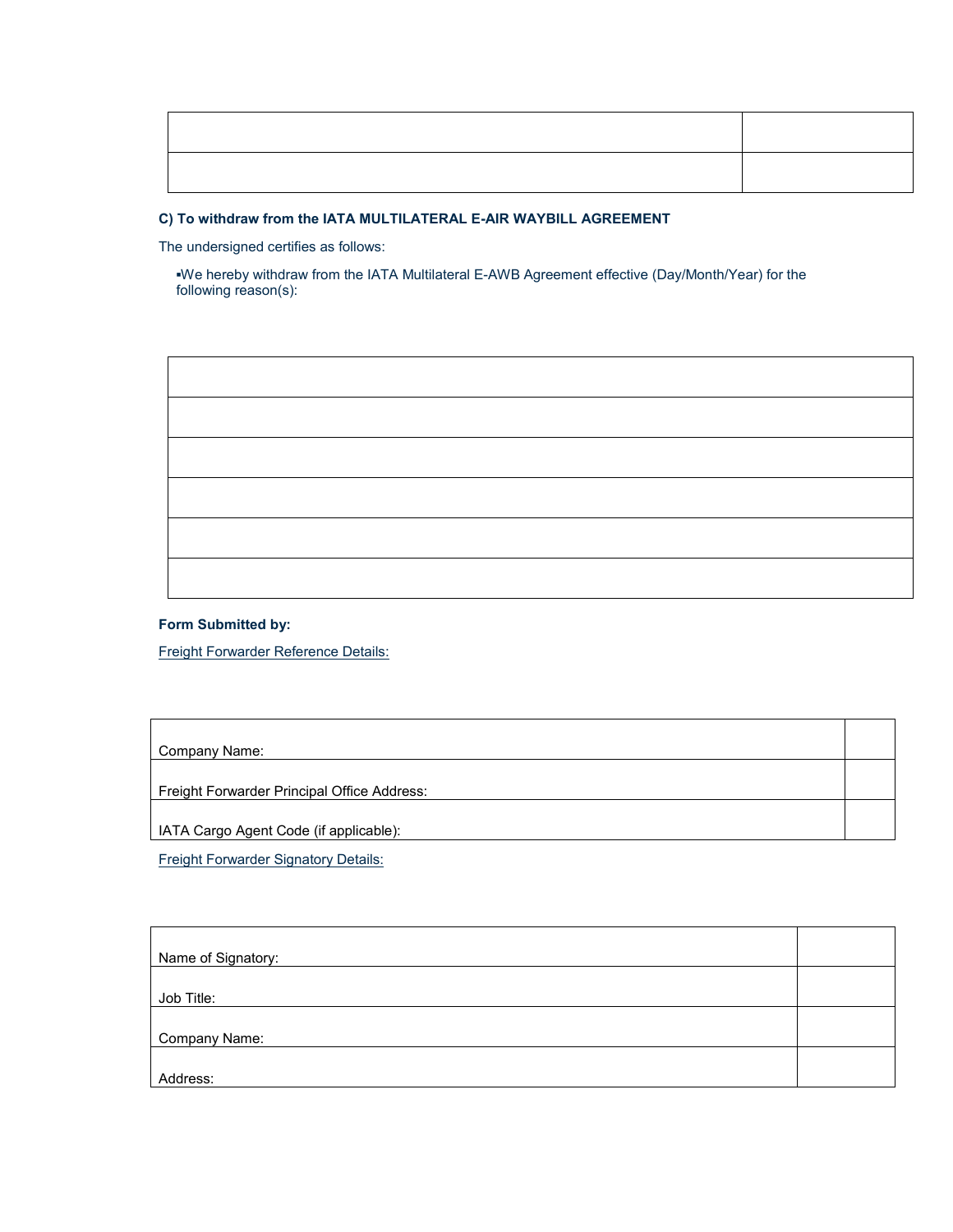### **C) To withdraw from the IATA MULTILATERAL E-AIR WAYBILL AGREEMENT**

The undersigned certifies as follows:

**▪**We hereby withdraw from the IATA Multilateral E-AWB Agreement effective (Day/Month/Year) for the following reason(s):



Freight Forwarder Reference Details:

Company Name:

Freight Forwarder Principal Office Address:

IATA Cargo Agent Code (if applicable):

Freight Forwarder Signatory Details:

| Name of Signatory: |  |
|--------------------|--|
|                    |  |
| Job Title:         |  |
|                    |  |
| Company Name:      |  |
|                    |  |
| Address:           |  |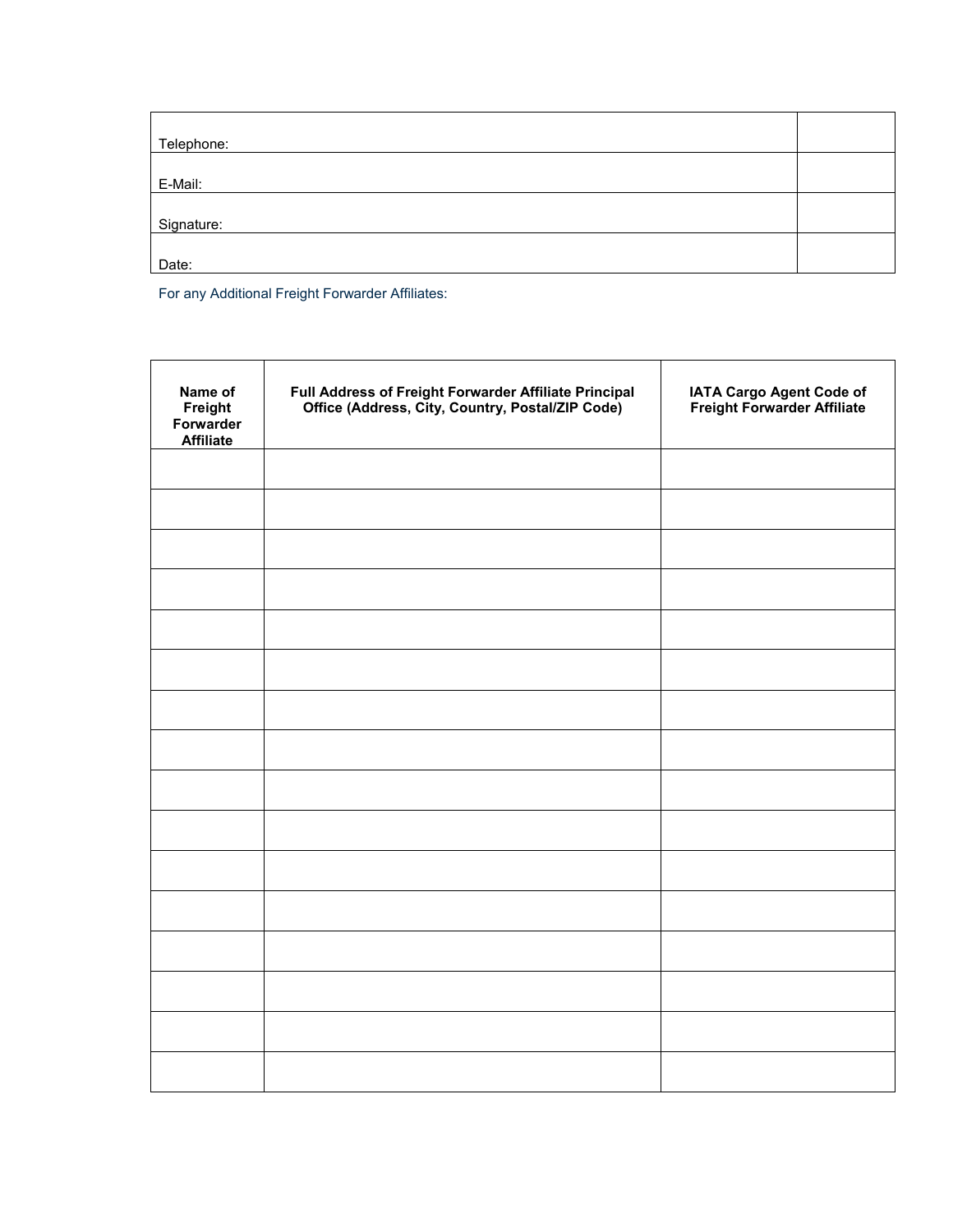| Telephone: |  |
|------------|--|
| E-Mail:    |  |
| Signature: |  |
| Date:      |  |

For any Additional Freight Forwarder Affiliates:

| Name of<br>Freight<br>Forwarder<br><b>Affiliate</b> | Full Address of Freight Forwarder Affiliate Principal<br>Office (Address, City, Country, Postal/ZIP Code) | IATA Cargo Agent Code of<br>Freight Forwarder Affiliate |
|-----------------------------------------------------|-----------------------------------------------------------------------------------------------------------|---------------------------------------------------------|
|                                                     |                                                                                                           |                                                         |
|                                                     |                                                                                                           |                                                         |
|                                                     |                                                                                                           |                                                         |
|                                                     |                                                                                                           |                                                         |
|                                                     |                                                                                                           |                                                         |
|                                                     |                                                                                                           |                                                         |
|                                                     |                                                                                                           |                                                         |
|                                                     |                                                                                                           |                                                         |
|                                                     |                                                                                                           |                                                         |
|                                                     |                                                                                                           |                                                         |
|                                                     |                                                                                                           |                                                         |
|                                                     |                                                                                                           |                                                         |
|                                                     |                                                                                                           |                                                         |
|                                                     |                                                                                                           |                                                         |
|                                                     |                                                                                                           |                                                         |
|                                                     |                                                                                                           |                                                         |
|                                                     |                                                                                                           |                                                         |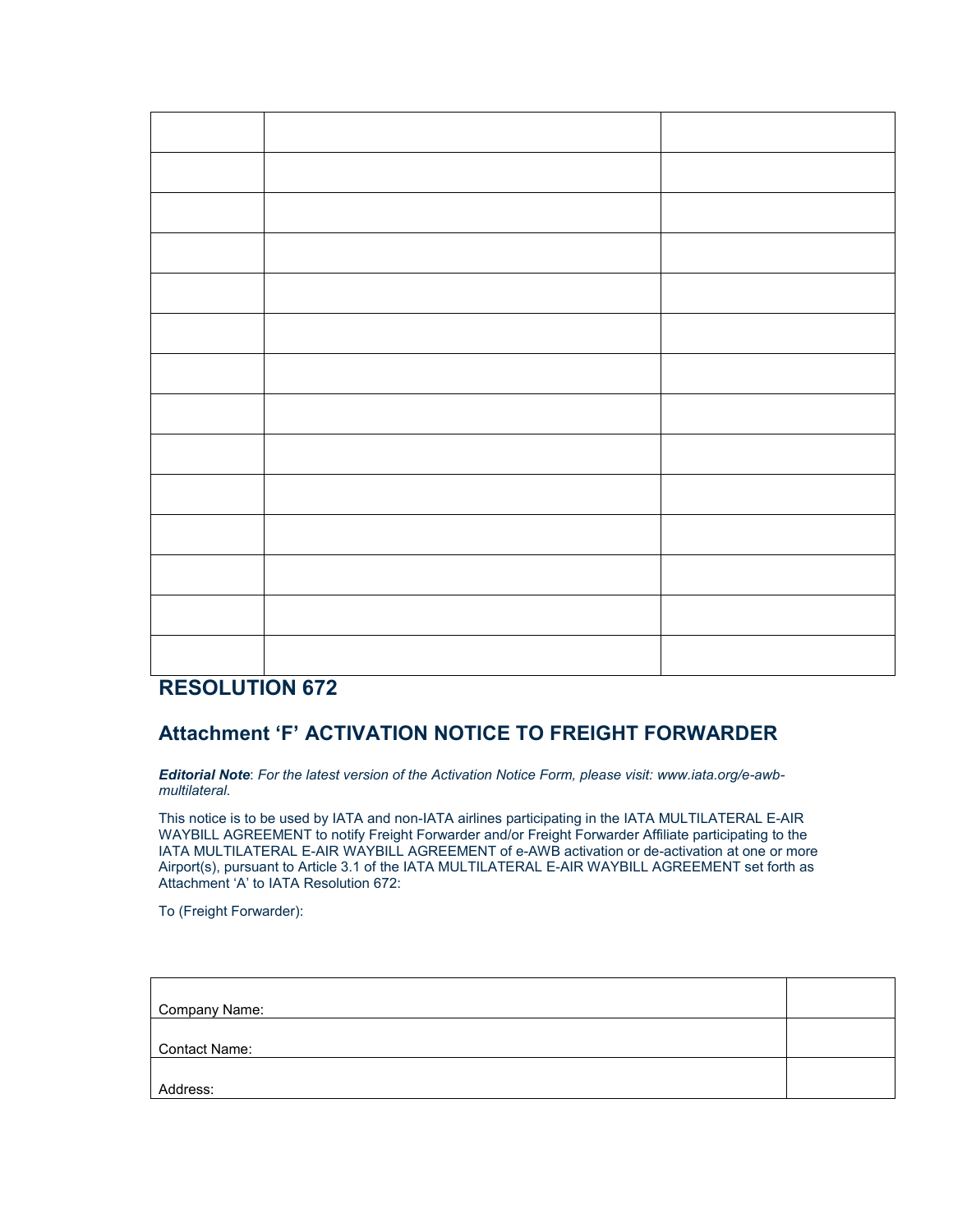| <b>BEAALUPIAU ARA</b> |  |
|-----------------------|--|

# **RESOLUTION 672**

# **Attachment 'F' ACTIVATION NOTICE TO FREIGHT FORWARDER**

*Editorial Note*: *For the latest version of the Activation Notice Form, please visit: www.iata.org/e-awbmultilateral*.

This notice is to be used by IATA and non-IATA airlines participating in the IATA MULTILATERAL E-AIR WAYBILL AGREEMENT to notify Freight Forwarder and/or Freight Forwarder Affiliate participating to the IATA MULTILATERAL E-AIR WAYBILL AGREEMENT of e-AWB activation or de-activation at one or more Airport(s), pursuant to Article 3.1 of the IATA MULTILATERAL E-AIR WAYBILL AGREEMENT set forth as Attachment 'A' to IATA Resolution 672:

To (Freight Forwarder):

| Company Name:        |  |
|----------------------|--|
| <b>Contact Name:</b> |  |
| Address:             |  |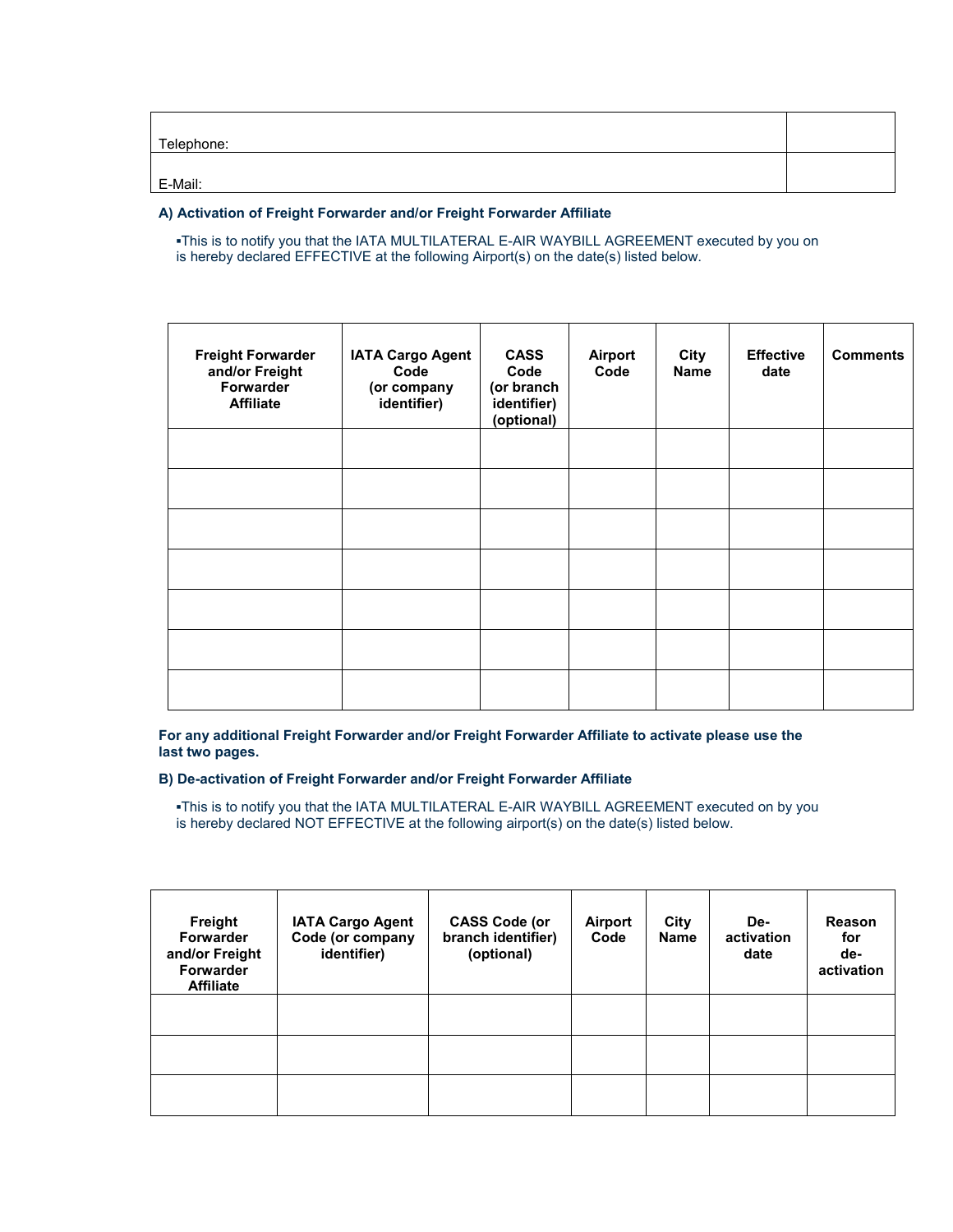| Telephone: |  |
|------------|--|
| E-Mail:    |  |

### **A) Activation of Freight Forwarder and/or Freight Forwarder Affiliate**

**▪**This is to notify you that the IATA MULTILATERAL E-AIR WAYBILL AGREEMENT executed by you on is hereby declared EFFECTIVE at the following Airport(s) on the date(s) listed below.

| <b>Freight Forwarder</b><br>and/or Freight<br>Forwarder<br><b>Affiliate</b> | <b>IATA Cargo Agent</b><br>Code<br>(or company<br>identifier) | <b>CASS</b><br>Code<br>(or branch<br>identifier)<br>(optional) | <b>Airport</b><br>Code | City<br><b>Name</b> | <b>Effective</b><br>date | <b>Comments</b> |
|-----------------------------------------------------------------------------|---------------------------------------------------------------|----------------------------------------------------------------|------------------------|---------------------|--------------------------|-----------------|
|                                                                             |                                                               |                                                                |                        |                     |                          |                 |
|                                                                             |                                                               |                                                                |                        |                     |                          |                 |
|                                                                             |                                                               |                                                                |                        |                     |                          |                 |
|                                                                             |                                                               |                                                                |                        |                     |                          |                 |
|                                                                             |                                                               |                                                                |                        |                     |                          |                 |
|                                                                             |                                                               |                                                                |                        |                     |                          |                 |
|                                                                             |                                                               |                                                                |                        |                     |                          |                 |
|                                                                             |                                                               |                                                                |                        |                     |                          |                 |

**For any additional Freight Forwarder and/or Freight Forwarder Affiliate to activate please use the last two pages.**

### **B) De-activation of Freight Forwarder and/or Freight Forwarder Affiliate**

**▪**This is to notify you that the IATA MULTILATERAL E-AIR WAYBILL AGREEMENT executed on by you is hereby declared NOT EFFECTIVE at the following airport(s) on the date(s) listed below.

| Freight<br><b>Forwarder</b><br>and/or Freight<br><b>Forwarder</b><br><b>Affiliate</b> | <b>IATA Cargo Agent</b><br>Code (or company<br>identifier) | <b>CASS Code (or</b><br>branch identifier)<br>(optional) | Airport<br>Code | City<br><b>Name</b> | De-<br>activation<br>date | Reason<br>for<br>de-<br>activation |
|---------------------------------------------------------------------------------------|------------------------------------------------------------|----------------------------------------------------------|-----------------|---------------------|---------------------------|------------------------------------|
|                                                                                       |                                                            |                                                          |                 |                     |                           |                                    |
|                                                                                       |                                                            |                                                          |                 |                     |                           |                                    |
|                                                                                       |                                                            |                                                          |                 |                     |                           |                                    |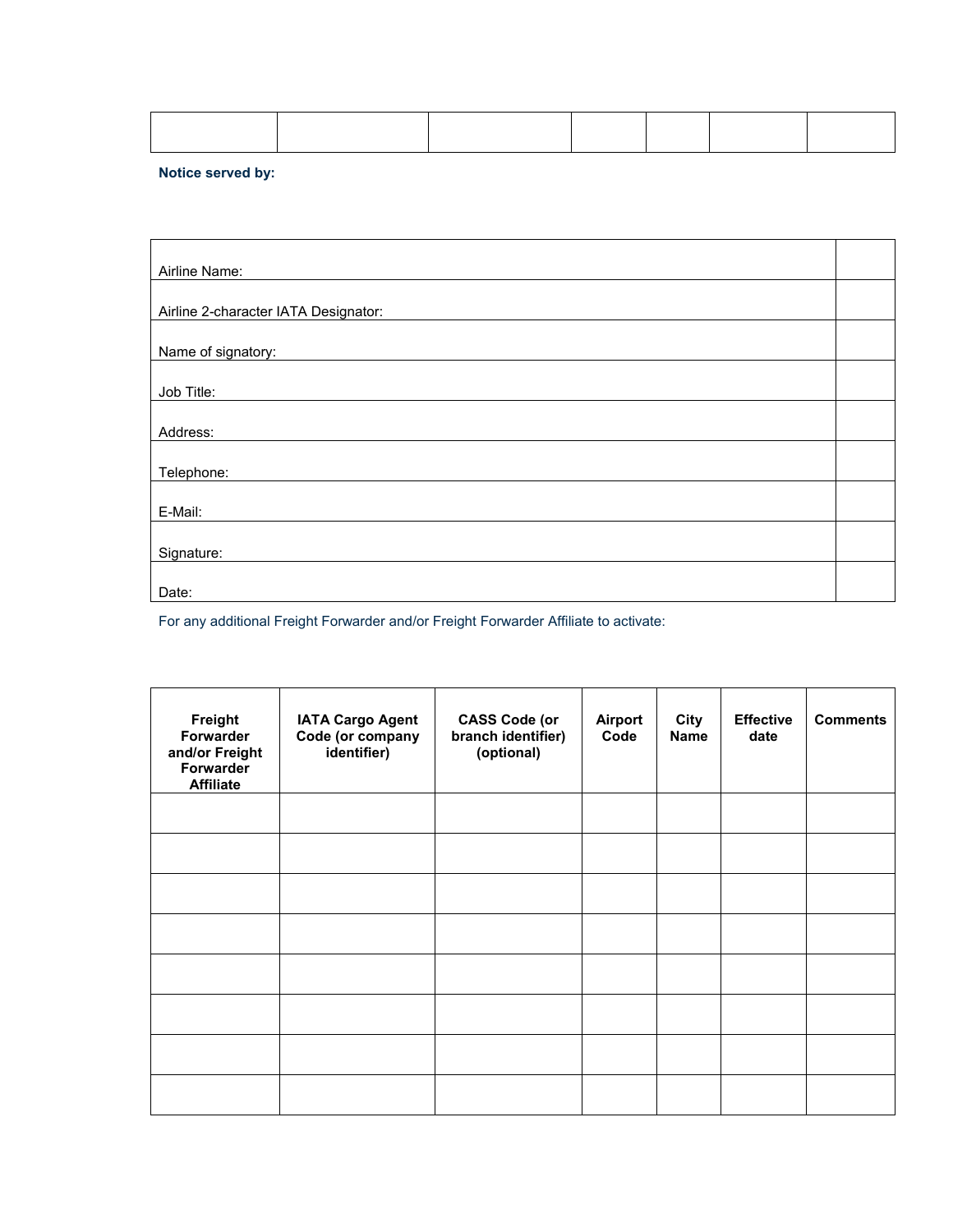## **Notice served by:**

| Airline Name:                        |  |
|--------------------------------------|--|
|                                      |  |
| Airline 2-character IATA Designator: |  |
|                                      |  |
| Name of signatory:                   |  |
|                                      |  |
| Job Title:                           |  |
|                                      |  |
| Address:                             |  |
|                                      |  |
| Telephone:                           |  |
|                                      |  |
| E-Mail:                              |  |
|                                      |  |
| Signature:                           |  |
|                                      |  |
| Date:                                |  |

For any additional Freight Forwarder and/or Freight Forwarder Affiliate to activate:

| Freight<br>Forwarder<br>and/or Freight<br>Forwarder<br><b>Affiliate</b> | <b>IATA Cargo Agent</b><br>Code (or company<br>identifier) | <b>CASS Code (or</b><br>branch identifier)<br>(optional) | Airport<br>Code | City<br>Name | <b>Effective</b><br>date | <b>Comments</b> |
|-------------------------------------------------------------------------|------------------------------------------------------------|----------------------------------------------------------|-----------------|--------------|--------------------------|-----------------|
|                                                                         |                                                            |                                                          |                 |              |                          |                 |
|                                                                         |                                                            |                                                          |                 |              |                          |                 |
|                                                                         |                                                            |                                                          |                 |              |                          |                 |
|                                                                         |                                                            |                                                          |                 |              |                          |                 |
|                                                                         |                                                            |                                                          |                 |              |                          |                 |
|                                                                         |                                                            |                                                          |                 |              |                          |                 |
|                                                                         |                                                            |                                                          |                 |              |                          |                 |
|                                                                         |                                                            |                                                          |                 |              |                          |                 |